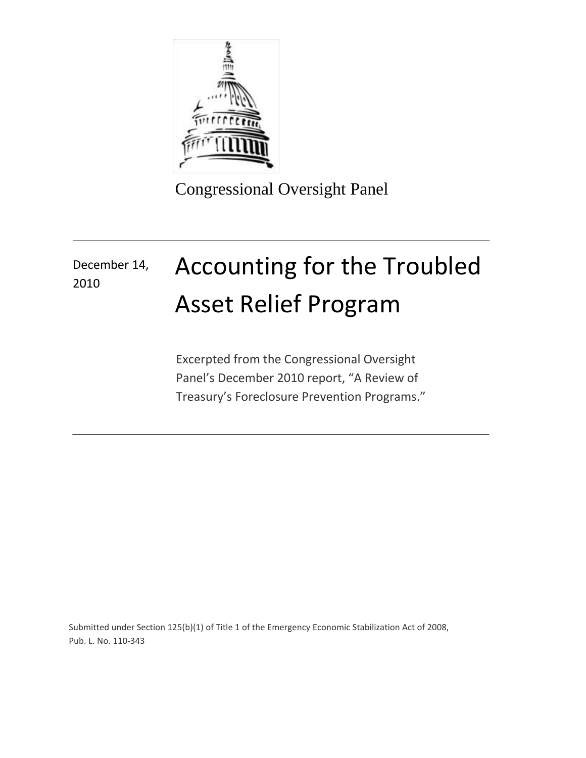

Congressional Oversight Panel

# Accounting for the Troubled Asset Relief Program December 14, 2010

Excerpted from the Congressional Oversight Panel's December 2010 report, "A Review of Treasury's Foreclosure Prevention Programs."

Submitted under Section 125(b)(1) of Title 1 of the Emergency Economic Stabilization Act of 2008, Pub. L. No. 110-343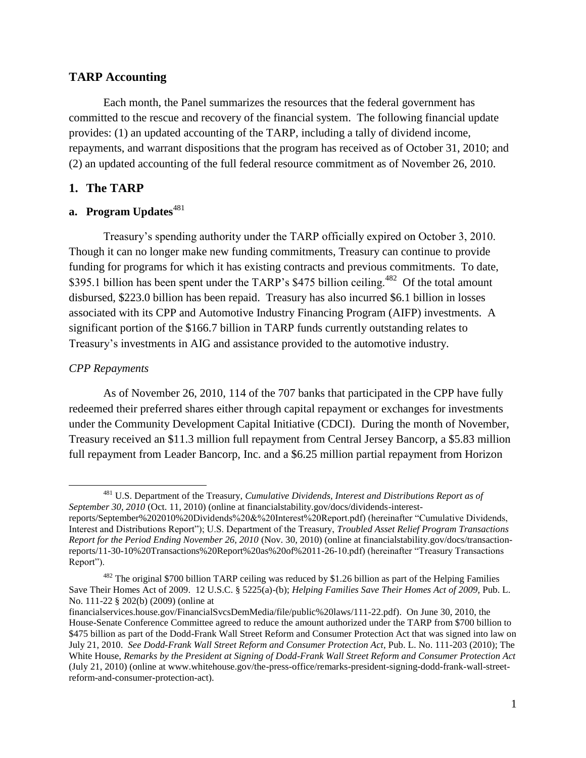### **TARP Accounting**

Each month, the Panel summarizes the resources that the federal government has committed to the rescue and recovery of the financial system. The following financial update provides: (1) an updated accounting of the TARP, including a tally of dividend income, repayments, and warrant dispositions that the program has received as of October 31, 2010; and (2) an updated accounting of the full federal resource commitment as of November 26, 2010.

### **1. The TARP**

### **a.** Program Updates<sup>481</sup>

Treasury's spending authority under the TARP officially expired on October 3, 2010. Though it can no longer make new funding commitments, Treasury can continue to provide funding for programs for which it has existing contracts and previous commitments. To date, \$395.1 billion has been spent under the TARP's \$475 billion ceiling.<sup>482</sup> Of the total amount disbursed, \$223.0 billion has been repaid. Treasury has also incurred \$6.1 billion in losses associated with its CPP and Automotive Industry Financing Program (AIFP) investments. A significant portion of the \$166.7 billion in TARP funds currently outstanding relates to Treasury's investments in AIG and assistance provided to the automotive industry.

### *CPP Repayments*

 $\overline{\phantom{a}}$ 

As of November 26, 2010, 114 of the 707 banks that participated in the CPP have fully redeemed their preferred shares either through capital repayment or exchanges for investments under the Community Development Capital Initiative (CDCI). During the month of November, Treasury received an \$11.3 million full repayment from Central Jersey Bancorp, a \$5.83 million full repayment from Leader Bancorp, Inc. and a \$6.25 million partial repayment from Horizon

<sup>481</sup> U.S. Department of the Treasury, *Cumulative Dividends, Interest and Distributions Report as of September 30, 2010* (Oct. 11, 2010) (online at financialstability.gov/docs/dividends-interest-

reports/September%202010%20Dividends%20&%20Interest%20Report.pdf) (hereinafter "Cumulative Dividends, Interest and Distributions Report"); U.S. Department of the Treasury, *Troubled Asset Relief Program Transactions Report for the Period Ending November 26, 2010* (Nov. 30, 2010) (online at financialstability.gov/docs/transactionreports/11-30-10%20Transactions%20Report%20as%20of%2011-26-10.pdf) (hereinafter "Treasury Transactions Report").

 $482$  The original \$700 billion TARP ceiling was reduced by \$1.26 billion as part of the Helping Families Save Their Homes Act of 2009. 12 U.S.C. § 5225(a)-(b); *Helping Families Save Their Homes Act of 2009,* Pub. L. No. 111-22 § 202(b) (2009) (online at

financialservices.house.gov/FinancialSvcsDemMedia/file/public%20laws/111-22.pdf). On June 30, 2010, the House-Senate Conference Committee agreed to reduce the amount authorized under the TARP from \$700 billion to \$475 billion as part of the Dodd-Frank Wall Street Reform and Consumer Protection Act that was signed into law on July 21, 2010. *See Dodd-Frank Wall Street Reform and Consumer Protection Act*, Pub. L. No. 111-203 (2010); The White House, *Remarks by the President at Signing of Dodd-Frank Wall Street Reform and Consumer Protection Act* (July 21, 2010) (online at www.whitehouse.gov/the-press-office/remarks-president-signing-dodd-frank-wall-streetreform-and-consumer-protection-act).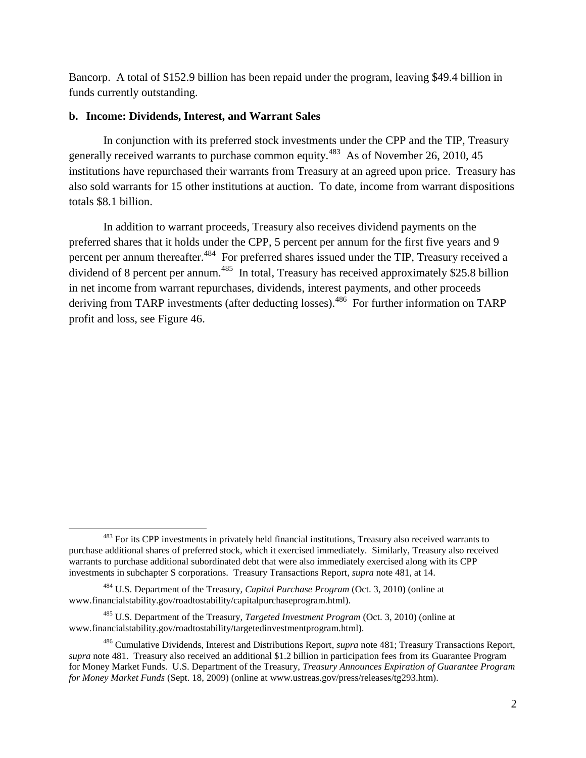Bancorp. A total of \$152.9 billion has been repaid under the program, leaving \$49.4 billion in funds currently outstanding.

#### **b. Income: Dividends, Interest, and Warrant Sales**

In conjunction with its preferred stock investments under the CPP and the TIP, Treasury generally received warrants to purchase common equity.<sup>483</sup> As of November 26, 2010, 45 institutions have repurchased their warrants from Treasury at an agreed upon price. Treasury has also sold warrants for 15 other institutions at auction. To date, income from warrant dispositions totals \$8.1 billion.

In addition to warrant proceeds, Treasury also receives dividend payments on the preferred shares that it holds under the CPP, 5 percent per annum for the first five years and 9 percent per annum thereafter.<sup>484</sup> For preferred shares issued under the TIP, Treasury received a dividend of 8 percent per annum.<sup>485</sup> In total, Treasury has received approximately \$25.8 billion in net income from warrant repurchases, dividends, interest payments, and other proceeds deriving from TARP investments (after deducting losses).<sup>486</sup> For further information on TARP profit and loss, see Figure 46.

 $\overline{a}$ 

<sup>&</sup>lt;sup>483</sup> For its CPP investments in privately held financial institutions, Treasury also received warrants to purchase additional shares of preferred stock, which it exercised immediately. Similarly, Treasury also received warrants to purchase additional subordinated debt that were also immediately exercised along with its CPP investments in subchapter S corporations. Treasury Transactions Report, *supra* note 481, at 14.

<sup>484</sup> U.S. Department of the Treasury, *Capital Purchase Program* (Oct. 3, 2010) (online at www.financialstability.gov/roadtostability/capitalpurchaseprogram.html).

<sup>485</sup> U.S. Department of the Treasury, *Targeted Investment Program* (Oct. 3, 2010) (online at www.financialstability.gov/roadtostability/targetedinvestmentprogram.html).

<sup>486</sup> Cumulative Dividends, Interest and Distributions Report, *supra* note 481; Treasury Transactions Report, *supra* note 481. Treasury also received an additional \$1.2 billion in participation fees from its Guarantee Program for Money Market Funds. U.S. Department of the Treasury, *Treasury Announces Expiration of Guarantee Program for Money Market Funds* (Sept. 18, 2009) (online at www.ustreas.gov/press/releases/tg293.htm).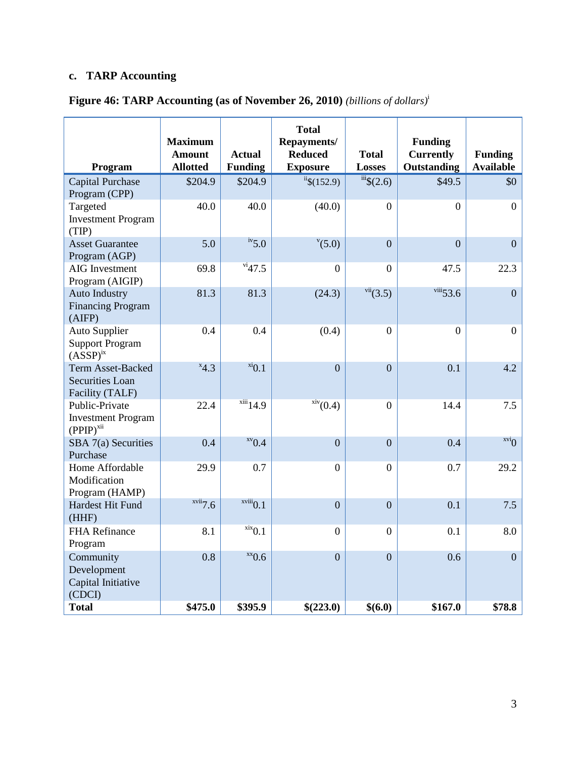# **c. TARP Accounting**

| <b>Figure 46: TARP Accounting (as of November 26, 2010)</b> (billions of dollars) <sup>i</sup> |  |  |  |
|------------------------------------------------------------------------------------------------|--|--|--|
|                                                                                                |  |  |  |

| Program                                                               | <b>Maximum</b><br><b>Amount</b><br><b>Allotted</b> | <b>Actual</b><br><b>Funding</b> | <b>Total</b><br>Repayments/<br><b>Reduced</b><br><b>Exposure</b> | <b>Total</b><br><b>Losses</b>    | <b>Funding</b><br><b>Currently</b><br><b>Outstanding</b> | <b>Funding</b><br><b>Available</b> |
|-----------------------------------------------------------------------|----------------------------------------------------|---------------------------------|------------------------------------------------------------------|----------------------------------|----------------------------------------------------------|------------------------------------|
| Capital Purchase<br>Program (CPP)                                     | \$204.9                                            | \$204.9                         | $i$ <sup>ii</sup> \$(152.9)                                      | $\overline{\mathfrak{m}}\$ (2.6) | \$49.5                                                   | \$0                                |
| Targeted<br><b>Investment Program</b><br>(TIP)                        | 40.0                                               | 40.0                            | (40.0)                                                           | $\boldsymbol{0}$                 | $\boldsymbol{0}$                                         | $\boldsymbol{0}$                   |
| <b>Asset Guarantee</b><br>Program (AGP)                               | 5.0                                                | $\frac{iv}{5.0}$                | $^{v}(5.0)$                                                      | $\overline{0}$                   | $\overline{0}$                                           | $\overline{0}$                     |
| <b>AIG</b> Investment<br>Program (AIGIP)                              | 69.8                                               | $\frac{\text{vi}}{47.5}$        | $\Omega$                                                         | $\overline{0}$                   | 47.5                                                     | 22.3                               |
| <b>Auto Industry</b><br><b>Financing Program</b><br>(AIFP)            | 81.3                                               | 81.3                            | (24.3)                                                           | vii(3.5)                         | $viii$ 53.6                                              | $\overline{0}$                     |
| <b>Auto Supplier</b><br><b>Support Program</b><br>$(ASSP)^{ix}$       | 0.4                                                | 0.4                             | (0.4)                                                            | $\overline{0}$                   | $\overline{0}$                                           | $\boldsymbol{0}$                   |
| <b>Term Asset-Backed</b><br><b>Securities Loan</b><br>Facility (TALF) | $x_{4,3}$                                          | $x_i$ <sub>0.1</sub>            | $\overline{0}$                                                   | $\overline{0}$                   | 0.1                                                      | 4.2                                |
| Public-Private<br><b>Investment Program</b><br>$(PPIP)^{xii}$         | 22.4                                               | $xiii$ <sub>14.9</sub>          | $\frac{\text{xiv}}{(0.4)}$                                       | $\overline{0}$                   | 14.4                                                     | 7.5                                |
| SBA 7(a) Securities<br>Purchase                                       | 0.4                                                | $xv_{0.4}$                      | $\overline{0}$                                                   | $\overline{0}$                   | 0.4                                                      | $\overline{\Omega}^{\text{ivx}}$   |
| Home Affordable<br>Modification<br>Program (HAMP)                     | 29.9                                               | 0.7                             | $\overline{0}$                                                   | $\overline{0}$                   | 0.7                                                      | 29.2                               |
| Hardest Hit Fund<br>(HHF)                                             | xvii7.6                                            | $x$ viii $0.1$                  | $\overline{0}$                                                   | $\overline{0}$                   | 0.1                                                      | 7.5                                |
| <b>FHA Refinance</b><br>Program                                       | 8.1                                                | $\overline{\text{xx}}0.1$       | $\boldsymbol{0}$                                                 | $\overline{0}$                   | 0.1                                                      | 8.0                                |
| Community<br>Development<br>Capital Initiative<br>(CDCI)              | 0.8                                                | $x_0$ .6                        | $\overline{0}$                                                   | $\overline{0}$                   | 0.6                                                      | $\overline{0}$                     |
| <b>Total</b>                                                          | \$475.0                                            | \$395.9                         | \$(223.0)                                                        | \$(6.0)                          | \$167.0                                                  | \$78.8                             |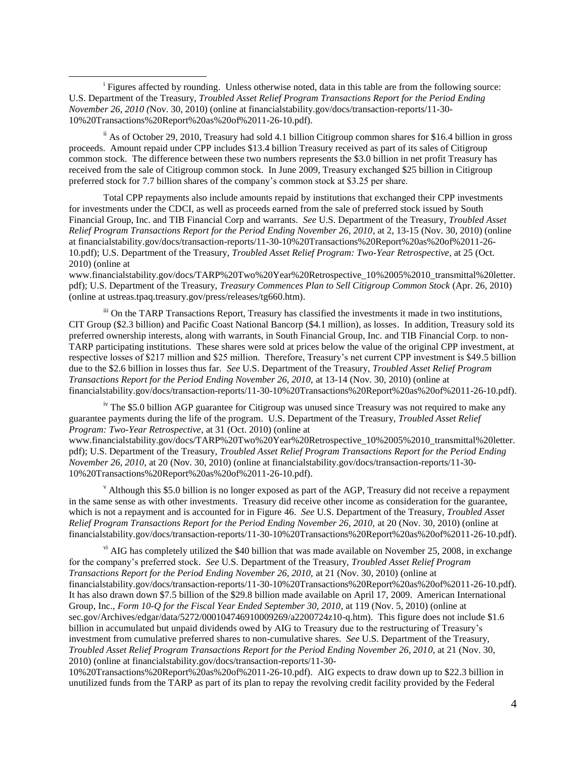<sup>i</sup> Figures affected by rounding. Unless otherwise noted, data in this table are from the following source: U.S. Department of the Treasury, *Troubled Asset Relief Program Transactions Report for the Period Ending November 26, 2010 (*Nov. 30, 2010) (online at financialstability.gov/docs/transaction-reports/11-30- 10%20Transactions%20Report%20as%20of%2011-26-10.pdf).

 $\overline{\phantom{a}}$ 

 $\frac{1}{10}$  As of October 29, 2010, Treasury had sold 4.1 billion Citigroup common shares for \$16.4 billion in gross proceeds. Amount repaid under CPP includes \$13.4 billion Treasury received as part of its sales of Citigroup common stock. The difference between these two numbers represents the \$3.0 billion in net profit Treasury has received from the sale of Citigroup common stock. In June 2009, Treasury exchanged \$25 billion in Citigroup preferred stock for 7.7 billion shares of the company's common stock at \$3.25 per share.

Total CPP repayments also include amounts repaid by institutions that exchanged their CPP investments for investments under the CDCI, as well as proceeds earned from the sale of preferred stock issued by South Financial Group, Inc. and TIB Financial Corp and warrants. *See* U.S. Department of the Treasury, *Troubled Asset Relief Program Transactions Report for the Period Ending November 26, 2010*, at 2, 13-15 (Nov. 30, 2010) (online at financialstability.gov/docs/transaction-reports/11-30-10%20Transactions%20Report%20as%20of%2011-26- 10.pdf); U.S. Department of the Treasury, *Troubled Asset Relief Program: Two-Year Retrospective*, at 25 (Oct. 2010) (online at

www.financialstability.gov/docs/TARP%20Two%20Year%20Retrospective\_10%2005%2010\_transmittal%20letter. pdf); U.S. Department of the Treasury, *Treasury Commences Plan to Sell Citigroup Common Stock* (Apr. 26, 2010) (online at ustreas.tpaq.treasury.gov/press/releases/tg660.htm).

iii On the TARP Transactions Report, Treasury has classified the investments it made in two institutions, CIT Group (\$2.3 billion) and Pacific Coast National Bancorp (\$4.1 million), as losses. In addition, Treasury sold its preferred ownership interests, along with warrants, in South Financial Group, Inc. and TIB Financial Corp. to non-TARP participating institutions. These shares were sold at prices below the value of the original CPP investment, at respective losses of \$217 million and \$25 million. Therefore, Treasury's net current CPP investment is \$49.5 billion due to the \$2.6 billion in losses thus far. *See* U.S. Department of the Treasury, *Troubled Asset Relief Program Transactions Report for the Period Ending November 26, 2010,* at 13-14 (Nov. 30, 2010) (online at financialstability.gov/docs/transaction-reports/11-30-10%20Transactions%20Report%20as%20of%2011-26-10.pdf).

<sup>iv</sup> The \$5.0 billion AGP guarantee for Citigroup was unused since Treasury was not required to make any guarantee payments during the life of the program. U.S. Department of the Treasury, *Troubled Asset Relief Program: Two-Year Retrospective*, at 31 (Oct. 2010) (online at

www.financialstability.gov/docs/TARP%20Two%20Year%20Retrospective\_10%2005%2010\_transmittal%20letter. pdf); U.S. Department of the Treasury, *Troubled Asset Relief Program Transactions Report for the Period Ending November 26, 2010,* at 20 (Nov. 30, 2010) (online at financialstability.gov/docs/transaction-reports/11-30- 10%20Transactions%20Report%20as%20of%2011-26-10.pdf).

 $\alpha$  Although this \$5.0 billion is no longer exposed as part of the AGP, Treasury did not receive a repayment in the same sense as with other investments. Treasury did receive other income as consideration for the guarantee, which is not a repayment and is accounted for in Figure 46. *See* U.S. Department of the Treasury, *Troubled Asset Relief Program Transactions Report for the Period Ending November 26, 2010,* at 20 (Nov. 30, 2010) (online at financialstability.gov/docs/transaction-reports/11-30-10%20Transactions%20Report%20as%20of%2011-26-10.pdf).

 $v<sup>i</sup>$  AIG has completely utilized the \$40 billion that was made available on November 25, 2008, in exchange for the company's preferred stock. *See* U.S. Department of the Treasury, *Troubled Asset Relief Program Transactions Report for the Period Ending November 26, 2010,* at 21 (Nov. 30, 2010) (online at financialstability.gov/docs/transaction-reports/11-30-10%20Transactions%20Report%20as%20of%2011-26-10.pdf). It has also drawn down \$7.5 billion of the \$29.8 billion made available on April 17, 2009. American International Group, Inc., *Form 10-Q for the Fiscal Year Ended September 30, 2010*, at 119 (Nov. 5, 2010) (online at sec.gov/Archives/edgar/data/5272/000104746910009269/a2200724z10-q.htm). This figure does not include \$1.6 billion in accumulated but unpaid dividends owed by AIG to Treasury due to the restructuring of Treasury's investment from cumulative preferred shares to non-cumulative shares. *See* U.S. Department of the Treasury, *Troubled Asset Relief Program Transactions Report for the Period Ending November 26, 2010,* at 21 (Nov. 30, 2010) (online at financialstability.gov/docs/transaction-reports/11-30-

10%20Transactions%20Report%20as%20of%2011-26-10.pdf). AIG expects to draw down up to \$22.3 billion in unutilized funds from the TARP as part of its plan to repay the revolving credit facility provided by the Federal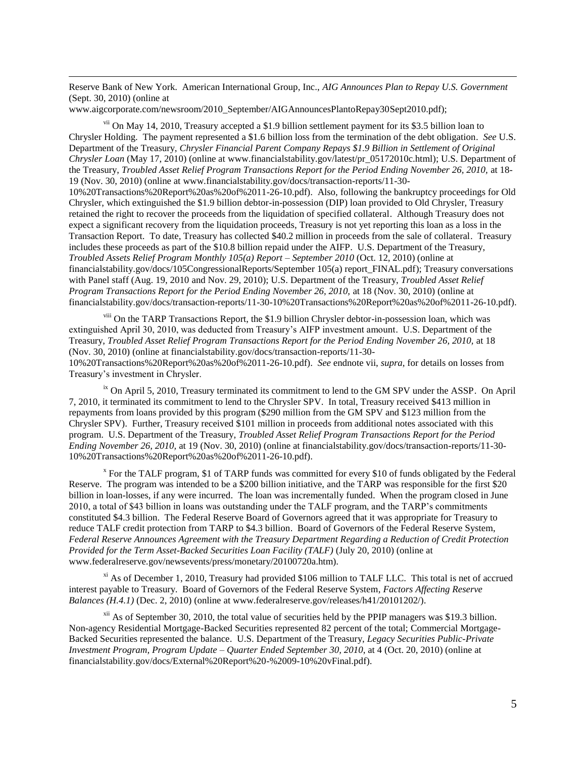Reserve Bank of New York. American International Group, Inc., *AIG Announces Plan to Repay U.S. Government* (Sept. 30, 2010) (online at

www.aigcorporate.com/newsroom/2010\_September/AIGAnnouncesPlantoRepay30Sept2010.pdf);

 $\overline{\phantom{a}}$ 

vii On May 14, 2010, Treasury accepted a \$1.9 billion settlement payment for its \$3.5 billion loan to Chrysler Holding. The payment represented a \$1.6 billion loss from the termination of the debt obligation. *See* U.S. Department of the Treasury, *Chrysler Financial Parent Company Repays \$1.9 Billion in Settlement of Original Chrysler Loan* (May 17, 2010) (online at www.financialstability.gov/latest/pr\_05172010c.html); U.S. Department of the Treasury, *Troubled Asset Relief Program Transactions Report for the Period Ending November 26, 2010,* at 18- 19 (Nov. 30, 2010) (online at www.financialstability.gov/docs/transaction-reports/11-30-

10%20Transactions%20Report%20as%20of%2011-26-10.pdf). Also, following the bankruptcy proceedings for Old Chrysler, which extinguished the \$1.9 billion debtor-in-possession (DIP) loan provided to Old Chrysler, Treasury retained the right to recover the proceeds from the liquidation of specified collateral. Although Treasury does not expect a significant recovery from the liquidation proceeds, Treasury is not yet reporting this loan as a loss in the Transaction Report. To date, Treasury has collected \$40.2 million in proceeds from the sale of collateral. Treasury includes these proceeds as part of the \$10.8 billion repaid under the AIFP. U.S. Department of the Treasury, *Troubled Assets Relief Program Monthly 105(a) Report – September 2010* (Oct. 12, 2010) (online at financialstability.gov/docs/105CongressionalReports/September 105(a) report\_FINAL.pdf); Treasury conversations with Panel staff (Aug. 19, 2010 and Nov. 29, 2010); U.S. Department of the Treasury, *Troubled Asset Relief Program Transactions Report for the Period Ending November 26, 2010,* at 18 (Nov. 30, 2010) (online at financialstability.gov/docs/transaction-reports/11-30-10%20Transactions%20Report%20as%20of%2011-26-10.pdf).

viii On the TARP Transactions Report, the \$1.9 billion Chrysler debtor-in-possession loan, which was extinguished April 30, 2010, was deducted from Treasury's AIFP investment amount. U.S. Department of the Treasury, *Troubled Asset Relief Program Transactions Report for the Period Ending November 26, 2010,* at 18 (Nov. 30, 2010) (online at financialstability.gov/docs/transaction-reports/11-30- 10%20Transactions%20Report%20as%20of%2011-26-10.pdf). *See* endnote vii, *supra*, for details on losses from Treasury's investment in Chrysler.

<sup>ix</sup> On April 5, 2010, Treasury terminated its commitment to lend to the GM SPV under the ASSP. On April 7, 2010, it terminated its commitment to lend to the Chrysler SPV. In total, Treasury received \$413 million in repayments from loans provided by this program (\$290 million from the GM SPV and \$123 million from the Chrysler SPV). Further, Treasury received \$101 million in proceeds from additional notes associated with this program. U.S. Department of the Treasury, *Troubled Asset Relief Program Transactions Report for the Period Ending November 26, 2010,* at 19 (Nov. 30, 2010) (online at financialstability.gov/docs/transaction-reports/11-30- 10%20Transactions%20Report%20as%20of%2011-26-10.pdf).

<sup>x</sup> For the TALF program, \$1 of TARP funds was committed for every \$10 of funds obligated by the Federal Reserve. The program was intended to be a \$200 billion initiative, and the TARP was responsible for the first \$20 billion in loan-losses, if any were incurred. The loan was incrementally funded. When the program closed in June 2010, a total of \$43 billion in loans was outstanding under the TALF program, and the TARP's commitments constituted \$4.3 billion. The Federal Reserve Board of Governors agreed that it was appropriate for Treasury to reduce TALF credit protection from TARP to \$4.3 billion. Board of Governors of the Federal Reserve System, *Federal Reserve Announces Agreement with the Treasury Department Regarding a Reduction of Credit Protection Provided for the Term Asset-Backed Securities Loan Facility (TALF)* (July 20, 2010) (online at www.federalreserve.gov/newsevents/press/monetary/20100720a.htm).

 $\frac{x_i}{x_i}$  As of December 1, 2010, Treasury had provided \$106 million to TALF LLC. This total is net of accrued interest payable to Treasury. Board of Governors of the Federal Reserve System, *Factors Affecting Reserve Balances (H.4.1)* (Dec. 2, 2010) (onlin[e at](http://at/) www.federalreserve.gov/releases/h41/20101202/).

 $x^{1/3}$  As of September 30, 2010, the total value of securities held by the PPIP managers was \$19.3 billion. Non-agency Residential Mortgage-Backed Securities represented 82 percent of the total; Commercial Mortgage-Backed Securities represented the balance. U.S. Department of the Treasury, *Legacy Securities Public-Private Investment Program, Program Update – Quarter Ended September 30, 2010*, at 4 (Oct. 20, 2010) (online at financialstability.gov/docs/External%20Report%20-%2009-10%20vFinal.pdf).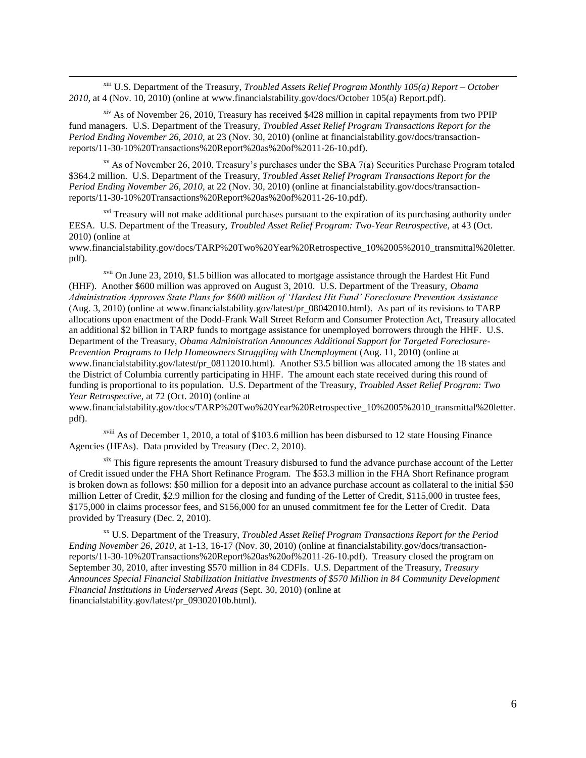xiii U.S. Department of the Treasury, *Troubled Assets Relief Program Monthly 105(a) Report – October 2010*, at 4 (Nov. 10, 2010) (online at www.financialstability.gov/docs/October 105(a) Report.pdf).

 $\overline{\phantom{a}}$ 

 $\frac{x}{y}$  As of November 26, 2010, Treasury has received \$428 million in capital repayments from two PPIP fund managers. U.S. Department of the Treasury, *Troubled Asset Relief Program Transactions Report for the Period Ending November 26, 2010,* at 23 (Nov. 30, 2010) (online at financialstability.gov/docs/transactionreports/11-30-10%20Transactions%20Report%20as%20of%2011-26-10.pdf).

 $x<sup>v</sup>$  As of November 26, 2010, Treasury's purchases under the SBA 7(a) Securities Purchase Program totaled \$364.2 million. U.S. Department of the Treasury, *Troubled Asset Relief Program Transactions Report for the Period Ending November 26, 2010,* at 22 (Nov. 30, 2010) (online at financialstability.gov/docs/transactionreports/11-30-10%20Transactions%20Report%20as%20of%2011-26-10.pdf).

<sup>xvi</sup> Treasury will not make additional purchases pursuant to the expiration of its purchasing authority under EESA. U.S. Department of the Treasury, *Troubled Asset Relief Program: Two-Year Retrospective*, at 43 (Oct. 2010) (online at

www.financialstability.gov/docs/TARP%20Two%20Year%20Retrospective\_10%2005%2010\_transmittal%20letter. pdf).

xvii On June 23, 2010, \$1.5 billion was allocated to mortgage assistance through the Hardest Hit Fund (HHF). Another \$600 million was approved on August 3, 2010. U.S. Department of the Treasury, *Obama Administration Approves State Plans for \$600 million of 'Hardest Hit Fund' Foreclosure Prevention Assistance* (Aug. 3, 2010) (online at www.financialstability.gov/latest/pr\_08042010.html). As part of its revisions to TARP allocations upon enactment of the Dodd-Frank Wall Street Reform and Consumer Protection Act, Treasury allocated an additional \$2 billion in TARP funds to mortgage assistance for unemployed borrowers through the HHF*.* U.S. Department of the Treasury, *Obama Administration Announces Additional Support for Targeted Foreclosure-Prevention Programs to Help Homeowners Struggling with Unemployment* (Aug. 11, 2010) (online at www.financialstability.gov/latest/pr\_08112010.html). Another \$3.5 billion was allocated among the 18 states and the District of Columbia currently participating in HHF. The amount each state received during this round of funding is proportional to its population. U.S. Department of the Treasury, *Troubled Asset Relief Program: Two Year Retrospective*, at 72 (Oct. 2010) (online at

www.financialstability.gov/docs/TARP%20Two%20Year%20Retrospective\_10%2005%2010\_transmittal%20letter. pdf).

xviii As of December 1, 2010, a total of \$103.6 million has been disbursed to 12 state Housing Finance Agencies (HFAs). Data provided by Treasury (Dec. 2, 2010).

xix This figure represents the amount Treasury disbursed to fund the advance purchase account of the Letter of Credit issued under the FHA Short Refinance Program. The \$53.3 million in the FHA Short Refinance program is broken down as follows: \$50 million for a deposit into an advance purchase account as collateral to the initial \$50 million Letter of Credit, \$2.9 million for the closing and funding of the Letter of Credit, \$115,000 in trustee fees, \$175,000 in claims processor fees, and \$156,000 for an unused commitment fee for the Letter of Credit. Data provided by Treasury (Dec. 2, 2010).

xx U.S. Department of the Treasury, *Troubled Asset Relief Program Transactions Report for the Period Ending November 26, 2010,* at 1-13, 16-17 (Nov. 30, 2010) (online at financialstability.gov/docs/transactionreports/11-30-10%20Transactions%20Report%20as%20of%2011-26-10.pdf). Treasury closed the program on September 30, 2010, after investing \$570 million in 84 CDFIs. U.S. Department of the Treasury, *Treasury Announces Special Financial Stabilization Initiative Investments of \$570 Million in 84 Community Development Financial Institutions in Underserved Areas* (Sept. 30, 2010) (online at financialstability.gov/latest/pr\_09302010b.html).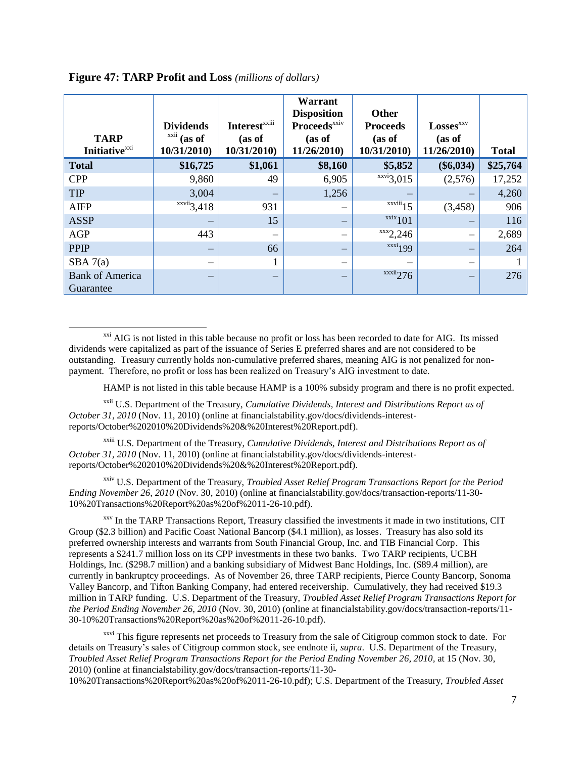| <b>TARP</b><br><b>Initiative</b> <sup>xxi</sup> | <b>Dividends</b><br><b>XX11</b><br>(as of<br>10/31/2010) | <b>Interest</b> <sup>xxiii</sup><br>(as of<br>10/31/2010) | Warrant<br><b>Disposition</b><br>Proceeds <sup>xxiv</sup><br>(as of<br>11/26/2010 | Other<br><b>Proceeds</b><br>(as of<br>10/31/2010) | <b>Losses</b> <sup>xxv</sup><br>(as of<br>11/26/2010 | <b>Total</b> |
|-------------------------------------------------|----------------------------------------------------------|-----------------------------------------------------------|-----------------------------------------------------------------------------------|---------------------------------------------------|------------------------------------------------------|--------------|
| <b>Total</b>                                    | \$16,725                                                 | \$1,061                                                   | \$8,160                                                                           | \$5,852                                           | $(\$6,034)$                                          | \$25,764     |
| <b>CPP</b>                                      | 9,860                                                    | 49                                                        | 6,905                                                                             | $\overline{\text{xxvi}}$ 3,015                    | (2,576)                                              | 17,252       |
| <b>TIP</b>                                      | 3,004                                                    | -                                                         | 1,256                                                                             |                                                   |                                                      | 4,260        |
| <b>AIFP</b>                                     | $\overline{\text{xxvii}}$ 3,418                          | 931                                                       |                                                                                   | $\overline{\text{xxviii}}$ 15                     | (3, 458)                                             | 906          |
| <b>ASSP</b>                                     |                                                          | 15                                                        |                                                                                   | $\frac{xx}{x}$ 101                                |                                                      | 116          |
| AGP                                             | 443                                                      |                                                           |                                                                                   | $\frac{xxx}{2,246}$                               |                                                      | 2,689        |
| <b>PPIP</b>                                     |                                                          | 66                                                        |                                                                                   | $\frac{xxxi}{199}$                                |                                                      | 264          |
| SBA 7(a)                                        |                                                          |                                                           |                                                                                   |                                                   |                                                      |              |
| <b>Bank of America</b><br>Guarantee             |                                                          |                                                           |                                                                                   | $\frac{xxxi}{276}$                                |                                                      | 276          |

**Figure 47: TARP Profit and Loss** *(millions of dollars)*

 $\overline{\phantom{a}}$ 

<sup>xxi</sup> AIG is not listed in this table because no profit or loss has been recorded to date for AIG. Its missed dividends were capitalized as part of the issuance of Series E preferred shares and are not considered to be outstanding. Treasury currently holds non-cumulative preferred shares, meaning AIG is not penalized for nonpayment. Therefore, no profit or loss has been realized on Treasury's AIG investment to date.

HAMP is not listed in this table because HAMP is a 100% subsidy program and there is no profit expected.

xxii U.S. Department of the Treasury, *Cumulative Dividends, Interest and Distributions Report as of October 31, 2010* (Nov. 11, 2010) (online at financialstability.gov/docs/dividends-interestreports/October%202010%20Dividends%20&%20Interest%20Report.pdf).

xxiii U.S. Department of the Treasury, *Cumulative Dividends, Interest and Distributions Report as of October 31, 2010* (Nov. 11, 2010) (online at financialstability.gov/docs/dividends-interestreports/October%202010%20Dividends%20&%20Interest%20Report.pdf).

xxiv U.S. Department of the Treasury, *Troubled Asset Relief Program Transactions Report for the Period Ending November 26, 2010* (Nov. 30, 2010) (online at financialstability.gov/docs/transaction-reports/11-30- 10%20Transactions%20Report%20as%20of%2011-26-10.pdf).

xxv In the TARP Transactions Report, Treasury classified the investments it made in two institutions, CIT Group (\$2.3 billion) and Pacific Coast National Bancorp (\$4.1 million), as losses. Treasury has also sold its preferred ownership interests and warrants from South Financial Group, Inc. and TIB Financial Corp. This represents a \$241.7 million loss on its CPP investments in these two banks. Two TARP recipients, UCBH Holdings, Inc. (\$298.7 million) and a banking subsidiary of Midwest Banc Holdings, Inc. (\$89.4 million), are currently in bankruptcy proceedings. As of November 26, three TARP recipients, Pierce County Bancorp, Sonoma Valley Bancorp, and Tifton Banking Company, had entered receivership. Cumulatively, they had received \$19.3 million in TARP funding. U.S. Department of the Treasury, *Troubled Asset Relief Program Transactions Report for the Period Ending November 26, 2010* (Nov. 30, 2010) (online at financialstability.gov/docs/transaction-reports/11- 30-10%20Transactions%20Report%20as%20of%2011-26-10.pdf).

<sup>xxvi</sup> This figure represents net proceeds to Treasury from the sale of Citigroup common stock to date. For details on Treasury's sales of Citigroup common stock, see endnote ii, *supra*. U.S. Department of the Treasury, *Troubled Asset Relief Program Transactions Report for the Period Ending November 26, 2010,* at 15 (Nov. 30, 2010) (online at financialstability.gov/docs/transaction-reports/11-30-

10%20Transactions%20Report%20as%20of%2011-26-10.pdf); U.S. Department of the Treasury, *Troubled Asset*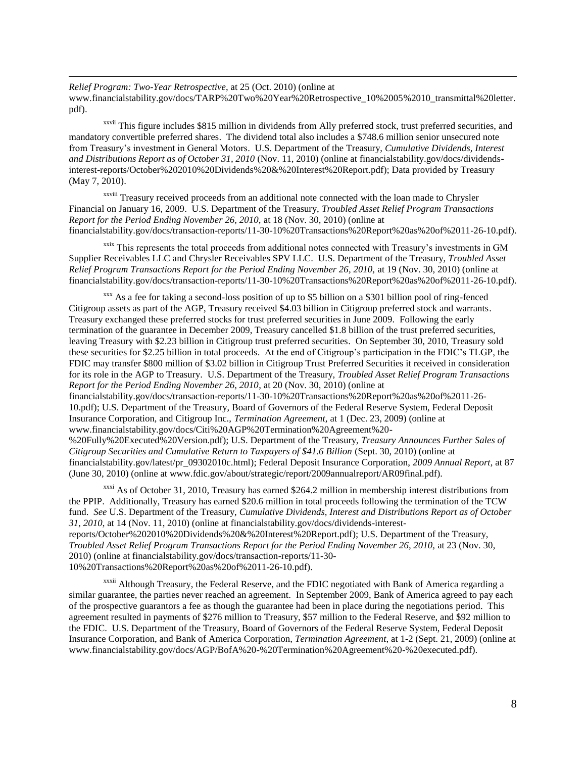*Relief Program: Two-Year Retrospective*, at 25 (Oct. 2010) (online at www.financialstability.gov/docs/TARP%20Two%20Year%20Retrospective\_10%2005%2010\_transmittal%20letter. pdf).

xxvii This figure includes \$815 million in dividends from Ally preferred stock, trust preferred securities, and mandatory convertible preferred shares. The dividend total also includes a \$748.6 million senior unsecured note from Treasury's investment in General Motors. U.S. Department of the Treasury, *Cumulative Dividends, Interest and Distributions Report as of October 31, 2010* (Nov. 11, 2010) (online at financialstability.gov/docs/dividendsinterest-reports/October%202010%20Dividends%20&%20Interest%20Report.pdf); Data provided by Treasury (May 7, 2010).

xxviii Treasury received proceeds from an additional note connected with the loan made to Chrysler Financial on January 16, 2009. U.S. Department of the Treasury, *Troubled Asset Relief Program Transactions Report for the Period Ending November 26, 2010,* at 18 (Nov. 30, 2010) (online at financialstability.gov/docs/transaction-reports/11-30-10%20Transactions%20Report%20as%20of%2011-26-10.pdf).

xxix This represents the total proceeds from additional notes connected with Treasury's investments in GM Supplier Receivables LLC and Chrysler Receivables SPV LLC. U.S. Department of the Treasury, *Troubled Asset Relief Program Transactions Report for the Period Ending November 26, 2010,* at 19 (Nov. 30, 2010) (online at financialstability.gov/docs/transaction-reports/11-30-10%20Transactions%20Report%20as%20of%2011-26-10.pdf).

 $xxx$  As a fee for taking a second-loss position of up to \$5 billion on a \$301 billion pool of ring-fenced Citigroup assets as part of the AGP, Treasury received \$4.03 billion in Citigroup preferred stock and warrants. Treasury exchanged these preferred stocks for trust preferred securities in June 2009. Following the early termination of the guarantee in December 2009, Treasury cancelled \$1.8 billion of the trust preferred securities, leaving Treasury with \$2.23 billion in Citigroup trust preferred securities. On September 30, 2010, Treasury sold these securities for \$2.25 billion in total proceeds. At the end of Citigroup's participation in the FDIC's TLGP, the FDIC may transfer \$800 million of \$3.02 billion in Citigroup Trust Preferred Securities it received in consideration for its role in the AGP to Treasury. U.S. Department of the Treasury, *Troubled Asset Relief Program Transactions Report for the Period Ending November 26, 2010*, at 20 (Nov. 30, 2010) (online at financialstability.gov/docs/transaction-reports/11-30-10%20Transactions%20Report%20as%20of%2011-26- 10.pdf); U.S. Department of the Treasury, Board of Governors of the Federal Reserve System, Federal Deposit Insurance Corporation, and Citigroup Inc., *Termination Agreement*, at 1 (Dec. 23, 2009) (online at www.financialstability.gov/docs/Citi%20AGP%20Termination%20Agreement%20-

%20Fully%20Executed%20Version.pdf); U.S. Department of the Treasury, *Treasury Announces Further Sales of Citigroup Securities and Cumulative Return to Taxpayers of \$41.6 Billion* (Sept. 30, 2010) (online at financialstability.gov/latest/pr\_09302010c.html); Federal Deposit Insurance Corporation, *2009 Annual Report*, at 87 (June 30, 2010) (online at www.fdic.gov/about/strategic/report/2009annualreport/AR09final.pdf).

<sup>xxxi</sup> As of October 31, 2010, Treasury has earned \$264.2 million in membership interest distributions from the PPIP. Additionally, Treasury has earned \$20.6 million in total proceeds following the termination of the TCW fund. *See* U.S. Department of the Treasury, *Cumulative Dividends, Interest and Distributions Report as of October 31, 2010*, at 14 (Nov. 11, 2010) (online at financialstability.gov/docs/dividends-interestreports/October%202010%20Dividends%20&%20Interest%20Report.pdf); U.S. Department of the Treasury, *Troubled Asset Relief Program Transactions Report for the Period Ending November 26, 2010,* at 23 (Nov. 30, 2010) (online at financialstability.gov/docs/transaction-reports/11-30-

10%20Transactions%20Report%20as%20of%2011-26-10.pdf).

 $\overline{\phantom{a}}$ 

<sup>xxxii</sup> Although Treasury, the Federal Reserve, and the FDIC negotiated with Bank of America regarding a similar guarantee, the parties never reached an agreement. In September 2009, Bank of America agreed to pay each of the prospective guarantors a fee as though the guarantee had been in place during the negotiations period. This agreement resulted in payments of \$276 million to Treasury, \$57 million to the Federal Reserve, and \$92 million to the FDIC. U.S. Department of the Treasury, Board of Governors of the Federal Reserve System, Federal Deposit Insurance Corporation, and Bank of America Corporation, *Termination Agreement*, at 1-2 (Sept. 21, 2009) (online at www.financialstability.gov/docs/AGP/BofA%20-%20Termination%20Agreement%20-%20executed.pdf).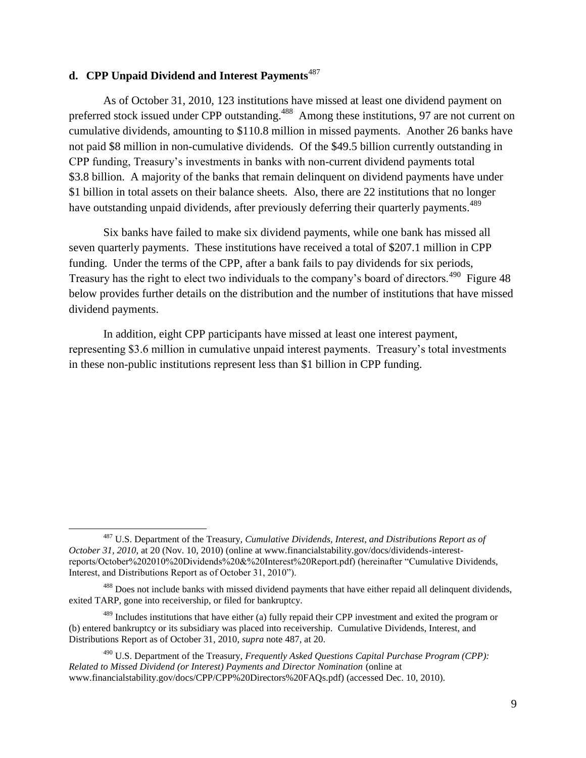### **d. CPP Unpaid Dividend and Interest Payments**<sup>487</sup>

 $\overline{a}$ 

As of October 31, 2010, 123 institutions have missed at least one dividend payment on preferred stock issued under CPP outstanding.<sup>488</sup> Among these institutions, 97 are not current on cumulative dividends, amounting to \$110.8 million in missed payments. Another 26 banks have not paid \$8 million in non-cumulative dividends. Of the \$49.5 billion currently outstanding in CPP funding, Treasury's investments in banks with non-current dividend payments total \$3.8 billion. A majority of the banks that remain delinquent on dividend payments have under \$1 billion in total assets on their balance sheets. Also, there are 22 institutions that no longer have outstanding unpaid dividends, after previously deferring their quarterly payments.<sup>489</sup>

Six banks have failed to make six dividend payments, while one bank has missed all seven quarterly payments. These institutions have received a total of \$207.1 million in CPP funding. Under the terms of the CPP, after a bank fails to pay dividends for six periods, Treasury has the right to elect two individuals to the company's board of directors.<sup>490</sup> Figure 48 below provides further details on the distribution and the number of institutions that have missed dividend payments.

In addition, eight CPP participants have missed at least one interest payment, representing \$3.6 million in cumulative unpaid interest payments. Treasury's total investments in these non-public institutions represent less than \$1 billion in CPP funding.

<sup>487</sup> U.S. Department of the Treasury, *Cumulative Dividends, Interest, and Distributions Report as of October 31, 2010*, at 20 (Nov. 10, 2010) (online at www.financialstability.gov/docs/dividends-interestreports/October%202010%20Dividends%20&%20Interest%20Report.pdf) (hereinafter "Cumulative Dividends, Interest, and Distributions Report as of October 31, 2010").

<sup>&</sup>lt;sup>488</sup> Does not include banks with missed dividend payments that have either repaid all delinquent dividends, exited TARP, gone into receivership, or filed for bankruptcy.

<sup>&</sup>lt;sup>489</sup> Includes institutions that have either (a) fully repaid their CPP investment and exited the program or (b) entered bankruptcy or its subsidiary was placed into receivership. Cumulative Dividends, Interest, and Distributions Report as of October 31, 2010, *supra* note 487, at 20.

<sup>490</sup> U.S. Department of the Treasury, *Frequently Asked Questions Capital Purchase Program (CPP): Related to Missed Dividend (or Interest) Payments and Director Nomination* (online at www.financialstability.gov/docs/CPP/CPP%20Directors%20FAQs.pdf) (accessed Dec. 10, 2010).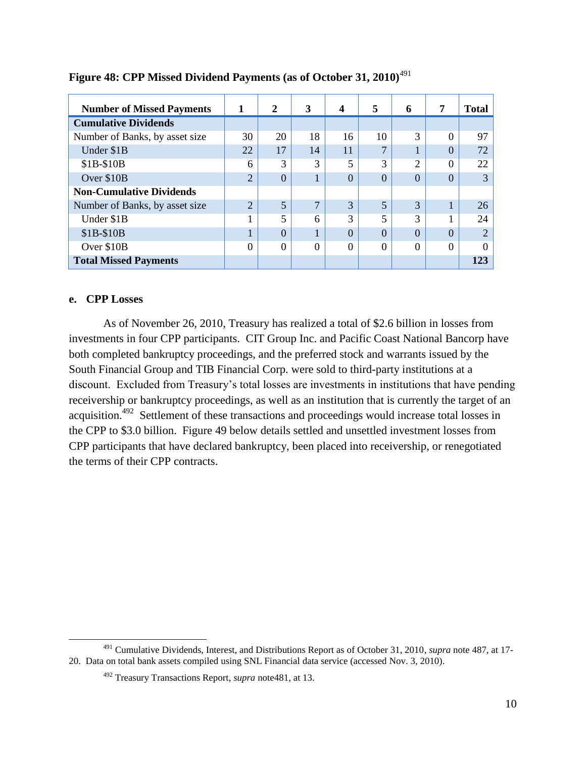| <b>Number of Missed Payments</b> | 1              | $\mathbf{2}$ | 3            | 4        | 5                       | 6        | 7        | <b>Total</b>          |
|----------------------------------|----------------|--------------|--------------|----------|-------------------------|----------|----------|-----------------------|
| <b>Cumulative Dividends</b>      |                |              |              |          |                         |          |          |                       |
| Number of Banks, by asset size   | 30             | 20           | 18           | 16       | 10                      | 3        | $\Omega$ | 97                    |
| Under \$1B                       | 22             | 17           | 14           | 11       | ⇁                       |          | $\Omega$ | 72                    |
| $$1B-$10B$                       | 6              | 3            | 3            | 5        | 3                       | ∍        | $\Omega$ | 22                    |
| Over \$10B                       | $\overline{2}$ | $\Omega$     |              | 0        | $\Omega$                | $\Omega$ | $\Omega$ | 3                     |
| <b>Non-Cumulative Dividends</b>  |                |              |              |          |                         |          |          |                       |
| Number of Banks, by asset size   | $\overline{2}$ | 5            | $\mathbf{z}$ | 3        | 5                       | 3        |          | 26                    |
| Under \$1B                       |                | 5            | 6            | 3        | $\overline{\mathbf{5}}$ | 3        |          | 24                    |
| $$1B-$10B$                       |                | $\Omega$     |              | $\Omega$ | 0                       | $\Omega$ |          | $\mathcal{D}_{\cdot}$ |
| Over \$10B                       | 0              | $\Omega$     | $\Omega$     | $\Omega$ | $\Omega$                | $\Omega$ | $\Omega$ |                       |
| <b>Total Missed Payments</b>     |                |              |              |          |                         |          |          | 123                   |

### Figure 48: CPP Missed Dividend Payments (as of October 31, 2010)<sup>491</sup>

#### **e. CPP Losses**

 $\overline{\phantom{a}}$ 

As of November 26, 2010, Treasury has realized a total of \$2.6 billion in losses from investments in four CPP participants. CIT Group Inc. and Pacific Coast National Bancorp have both completed bankruptcy proceedings, and the preferred stock and warrants issued by the South Financial Group and TIB Financial Corp. were sold to third-party institutions at a discount. Excluded from Treasury's total losses are investments in institutions that have pending receivership or bankruptcy proceedings, as well as an institution that is currently the target of an acquisition.<sup>492</sup> Settlement of these transactions and proceedings would increase total losses in the CPP to \$3.0 billion. Figure 49 below details settled and unsettled investment losses from CPP participants that have declared bankruptcy, been placed into receivership, or renegotiated the terms of their CPP contracts.

<sup>491</sup> Cumulative Dividends, Interest, and Distributions Report as of October 31, 2010, *supra* note 487, at 17- 20. Data on total bank assets compiled using SNL Financial data service (accessed Nov. 3, 2010).

<sup>492</sup> Treasury Transactions Report, *supra* note481, at 13.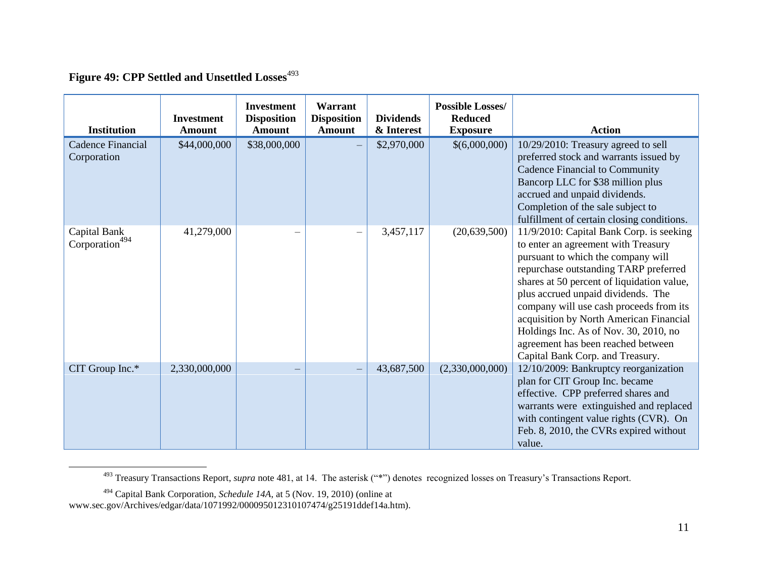# Figure 49: CPP Settled and Unsettled Losses<sup>493</sup>

| <b>Institution</b>                         | <b>Investment</b><br><b>Amount</b> | <b>Investment</b><br><b>Disposition</b><br><b>Amount</b> | Warrant<br><b>Disposition</b><br><b>Amount</b> | <b>Dividends</b><br>& Interest | <b>Possible Losses/</b><br><b>Reduced</b><br><b>Exposure</b> | <b>Action</b>                                                                                                                                                                                                                                                                                                                                                                                                                                               |
|--------------------------------------------|------------------------------------|----------------------------------------------------------|------------------------------------------------|--------------------------------|--------------------------------------------------------------|-------------------------------------------------------------------------------------------------------------------------------------------------------------------------------------------------------------------------------------------------------------------------------------------------------------------------------------------------------------------------------------------------------------------------------------------------------------|
| <b>Cadence Financial</b><br>Corporation    | \$44,000,000                       | \$38,000,000                                             |                                                | \$2,970,000                    | \$(6,000,000)                                                | 10/29/2010: Treasury agreed to sell<br>preferred stock and warrants issued by<br>Cadence Financial to Community<br>Bancorp LLC for \$38 million plus<br>accrued and unpaid dividends.<br>Completion of the sale subject to<br>fulfillment of certain closing conditions.                                                                                                                                                                                    |
| Capital Bank<br>Corporation <sup>494</sup> | 41,279,000                         |                                                          |                                                | 3,457,117                      | (20, 639, 500)                                               | 11/9/2010: Capital Bank Corp. is seeking<br>to enter an agreement with Treasury<br>pursuant to which the company will<br>repurchase outstanding TARP preferred<br>shares at 50 percent of liquidation value,<br>plus accrued unpaid dividends. The<br>company will use cash proceeds from its<br>acquisition by North American Financial<br>Holdings Inc. As of Nov. 30, 2010, no<br>agreement has been reached between<br>Capital Bank Corp. and Treasury. |
| CIT Group Inc.*                            | 2,330,000,000                      |                                                          |                                                | 43,687,500                     | (2,330,000,000)                                              | 12/10/2009: Bankruptcy reorganization<br>plan for CIT Group Inc. became<br>effective. CPP preferred shares and<br>warrants were extinguished and replaced<br>with contingent value rights (CVR). On<br>Feb. 8, 2010, the CVRs expired without<br>value.                                                                                                                                                                                                     |

<sup>&</sup>lt;sup>493</sup> Treasury Transactions Report, *supra* note 481, at 14. The asterisk ("\*") denotes recognized losses on Treasury's Transactions Report.

 $\overline{\phantom{a}}$ 

<sup>494</sup> Capital Bank Corporation, *Schedule 14A*, at 5 (Nov. 19, 2010) (online at www.sec.gov/Archives/edgar/data/1071992/000095012310107474/g25191ddef14a.htm).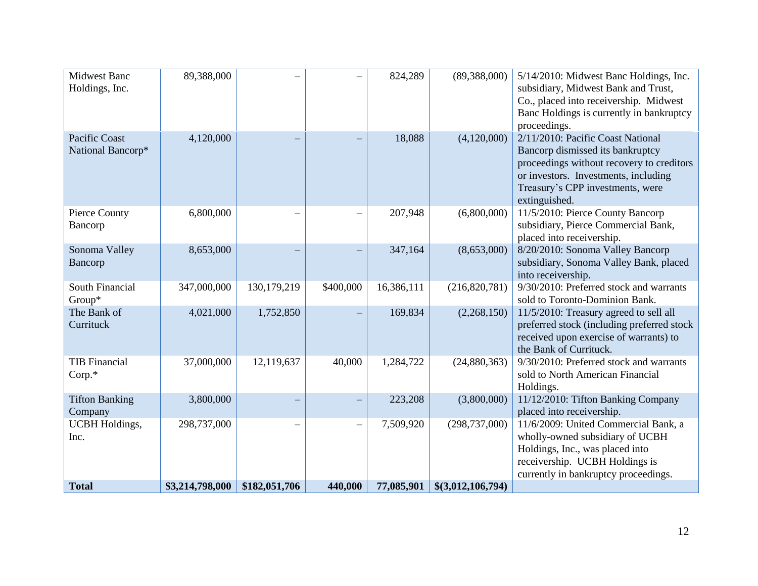| <b>Total</b>                          | \$3,214,798,000 | \$182,051,706 | 440,000   | 77,085,901 | \$(3,012,106,794) |                                                                                                                                                                                                                 |
|---------------------------------------|-----------------|---------------|-----------|------------|-------------------|-----------------------------------------------------------------------------------------------------------------------------------------------------------------------------------------------------------------|
| <b>UCBH</b> Holdings,<br>Inc.         | 298,737,000     |               |           | 7,509,920  | (298, 737, 000)   | 11/6/2009: United Commercial Bank, a<br>wholly-owned subsidiary of UCBH<br>Holdings, Inc., was placed into<br>receivership. UCBH Holdings is<br>currently in bankruptcy proceedings.                            |
| <b>Tifton Banking</b><br>Company      | 3,800,000       |               |           | 223,208    | (3,800,000)       | 11/12/2010: Tifton Banking Company<br>placed into receivership.                                                                                                                                                 |
| <b>TIB</b> Financial<br>$Corp.*$      | 37,000,000      | 12,119,637    | 40,000    | 1,284,722  | (24,880,363)      | 9/30/2010: Preferred stock and warrants<br>sold to North American Financial<br>Holdings.                                                                                                                        |
| The Bank of<br>Currituck              | 4,021,000       | 1,752,850     |           | 169,834    | (2,268,150)       | 11/5/2010: Treasury agreed to sell all<br>preferred stock (including preferred stock<br>received upon exercise of warrants) to<br>the Bank of Currituck.                                                        |
| South Financial<br>Group*             | 347,000,000     | 130,179,219   | \$400,000 | 16,386,111 | (216,820,781)     | 9/30/2010: Preferred stock and warrants<br>sold to Toronto-Dominion Bank.                                                                                                                                       |
| Sonoma Valley<br>Bancorp              | 8,653,000       |               |           | 347,164    | (8,653,000)       | 8/20/2010: Sonoma Valley Bancorp<br>subsidiary, Sonoma Valley Bank, placed<br>into receivership.                                                                                                                |
| Pierce County<br>Bancorp              | 6,800,000       |               |           | 207,948    | (6,800,000)       | 11/5/2010: Pierce County Bancorp<br>subsidiary, Pierce Commercial Bank,<br>placed into receivership.                                                                                                            |
| Pacific Coast<br>National Bancorp*    | 4,120,000       |               |           | 18,088     | (4,120,000)       | 2/11/2010: Pacific Coast National<br>Bancorp dismissed its bankruptcy<br>proceedings without recovery to creditors<br>or investors. Investments, including<br>Treasury's CPP investments, were<br>extinguished. |
| <b>Midwest Banc</b><br>Holdings, Inc. | 89,388,000      |               |           | 824,289    | (89, 388, 000)    | 5/14/2010: Midwest Banc Holdings, Inc.<br>subsidiary, Midwest Bank and Trust,<br>Co., placed into receivership. Midwest<br>Banc Holdings is currently in bankruptcy<br>proceedings.                             |
|                                       |                 |               |           |            |                   |                                                                                                                                                                                                                 |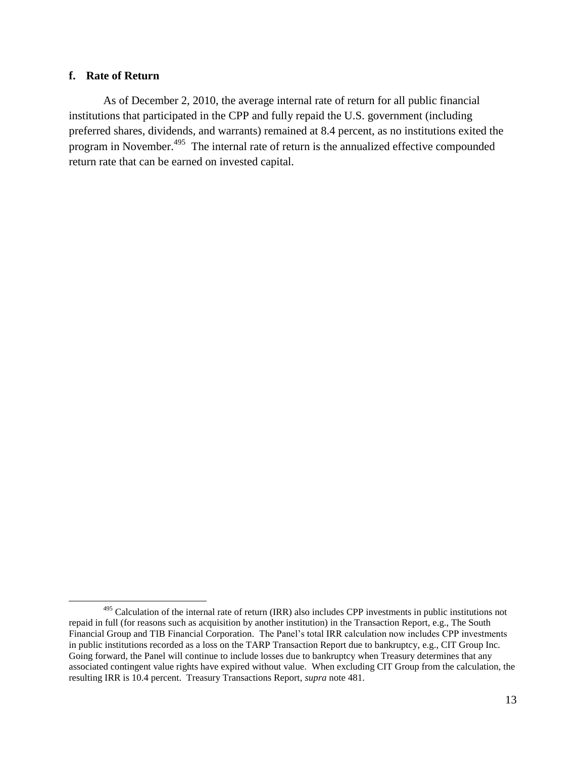#### **f. Rate of Return**

As of December 2, 2010, the average internal rate of return for all public financial institutions that participated in the CPP and fully repaid the U.S. government (including preferred shares, dividends, and warrants) remained at 8.4 percent, as no institutions exited the program in November.<sup>495</sup> The internal rate of return is the annualized effective compounded return rate that can be earned on invested capital.

 $\overline{\phantom{a}}$ <sup>495</sup> Calculation of the internal rate of return (IRR) also includes CPP investments in public institutions not repaid in full (for reasons such as acquisition by another institution) in the Transaction Report, e.g., The South Financial Group and TIB Financial Corporation. The Panel's total IRR calculation now includes CPP investments in public institutions recorded as a loss on the TARP Transaction Report due to bankruptcy, e.g., CIT Group Inc. Going forward, the Panel will continue to include losses due to bankruptcy when Treasury determines that any associated contingent value rights have expired without value. When excluding CIT Group from the calculation, the resulting IRR is 10.4 percent. Treasury Transactions Report, *supra* note 481.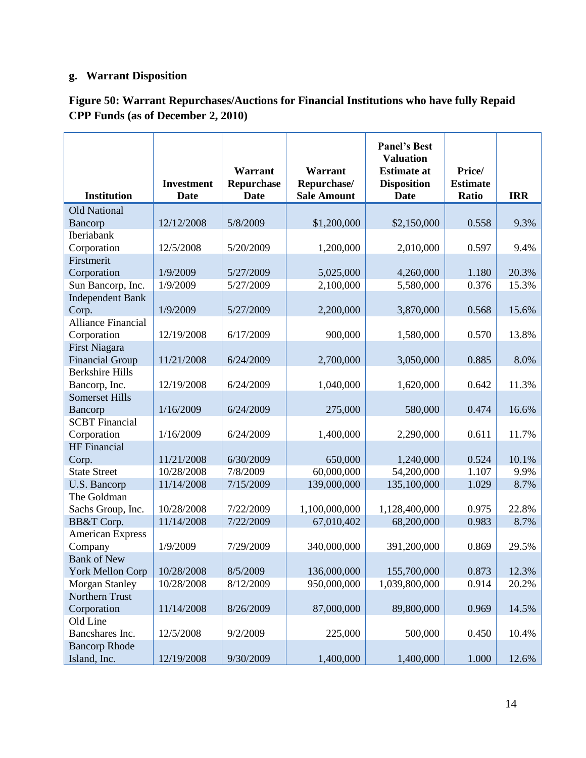# **g. Warrant Disposition**

| Figure 50: Warrant Repurchases/Auctions for Financial Institutions who have fully Repaid |  |
|------------------------------------------------------------------------------------------|--|
| <b>CPP Funds (as of December 2, 2010)</b>                                                |  |

| <b>Institution</b>        | <b>Investment</b><br>Date | Warrant<br>Repurchase<br><b>Date</b> | Warrant<br>Repurchase/<br><b>Sale Amount</b> | <b>Panel's Best</b><br><b>Valuation</b><br><b>Estimate at</b><br><b>Disposition</b><br><b>Date</b> | Price/<br><b>Estimate</b><br>Ratio | <b>IRR</b> |
|---------------------------|---------------------------|--------------------------------------|----------------------------------------------|----------------------------------------------------------------------------------------------------|------------------------------------|------------|
| <b>Old National</b>       |                           |                                      |                                              |                                                                                                    |                                    |            |
| Bancorp                   | 12/12/2008                | 5/8/2009                             | \$1,200,000                                  | \$2,150,000                                                                                        | 0.558                              | 9.3%       |
| Iberiabank                |                           |                                      |                                              |                                                                                                    |                                    |            |
| Corporation               | 12/5/2008                 | 5/20/2009                            | 1,200,000                                    | 2,010,000                                                                                          | 0.597                              | 9.4%       |
| Firstmerit                |                           |                                      |                                              |                                                                                                    |                                    |            |
| Corporation               | 1/9/2009                  | 5/27/2009                            | 5,025,000                                    | 4,260,000                                                                                          | 1.180                              | 20.3%      |
| Sun Bancorp, Inc.         | 1/9/2009                  | 5/27/2009                            | 2,100,000                                    | 5,580,000                                                                                          | 0.376                              | 15.3%      |
| <b>Independent Bank</b>   |                           |                                      |                                              |                                                                                                    |                                    |            |
| Corp.                     | 1/9/2009                  | 5/27/2009                            | 2,200,000                                    | 3,870,000                                                                                          | 0.568                              | 15.6%      |
| <b>Alliance Financial</b> |                           |                                      |                                              |                                                                                                    |                                    |            |
| Corporation               | 12/19/2008                | 6/17/2009                            | 900,000                                      | 1,580,000                                                                                          | 0.570                              | 13.8%      |
| First Niagara             |                           |                                      |                                              |                                                                                                    |                                    |            |
| <b>Financial Group</b>    | 11/21/2008                | 6/24/2009                            | 2,700,000                                    | 3,050,000                                                                                          | 0.885                              | 8.0%       |
| <b>Berkshire Hills</b>    |                           |                                      |                                              |                                                                                                    |                                    |            |
| Bancorp, Inc.             | 12/19/2008                | 6/24/2009                            | 1,040,000                                    | 1,620,000                                                                                          | 0.642                              | 11.3%      |
| <b>Somerset Hills</b>     |                           |                                      |                                              |                                                                                                    |                                    |            |
| Bancorp                   | 1/16/2009                 | 6/24/2009                            | 275,000                                      | 580,000                                                                                            | 0.474                              | 16.6%      |
| <b>SCBT</b> Financial     |                           |                                      |                                              |                                                                                                    |                                    |            |
| Corporation               | 1/16/2009                 | 6/24/2009                            | 1,400,000                                    | 2,290,000                                                                                          | 0.611                              | 11.7%      |
| <b>HF</b> Financial       |                           |                                      |                                              |                                                                                                    |                                    |            |
| Corp.                     | 11/21/2008                | 6/30/2009                            | 650,000                                      | 1,240,000                                                                                          | 0.524                              | 10.1%      |
| <b>State Street</b>       | 10/28/2008                | 7/8/2009                             | 60,000,000                                   | 54,200,000                                                                                         | 1.107                              | 9.9%       |
| U.S. Bancorp              | 11/14/2008                | 7/15/2009                            | 139,000,000                                  | 135,100,000                                                                                        | 1.029                              | 8.7%       |
| The Goldman               |                           |                                      |                                              |                                                                                                    |                                    |            |
| Sachs Group, Inc.         | 10/28/2008                | 7/22/2009                            | 1,100,000,000                                | 1,128,400,000                                                                                      | 0.975                              | 22.8%      |
| BB&T Corp.                | 11/14/2008                | 7/22/2009                            | 67,010,402                                   | 68,200,000                                                                                         | 0.983                              | 8.7%       |
| <b>American Express</b>   |                           |                                      |                                              |                                                                                                    |                                    |            |
| Company                   | 1/9/2009                  | 7/29/2009                            | 340,000,000                                  | 391,200,000                                                                                        | 0.869                              | 29.5%      |
| <b>Bank of New</b>        |                           |                                      |                                              |                                                                                                    |                                    |            |
| <b>York Mellon Corp</b>   | 10/28/2008                | 8/5/2009                             | 136,000,000                                  | 155,700,000                                                                                        | 0.873                              | 12.3%      |
| <b>Morgan Stanley</b>     | 10/28/2008                | 8/12/2009                            | 950,000,000                                  | 1,039,800,000                                                                                      | 0.914                              | 20.2%      |
| Northern Trust            |                           |                                      |                                              |                                                                                                    |                                    |            |
| Corporation               | 11/14/2008                | 8/26/2009                            | 87,000,000                                   | 89,800,000                                                                                         | 0.969                              | 14.5%      |
| Old Line                  |                           |                                      |                                              |                                                                                                    |                                    |            |
| Bancshares Inc.           | 12/5/2008                 | 9/2/2009                             | 225,000                                      | 500,000                                                                                            | 0.450                              | 10.4%      |
| <b>Bancorp Rhode</b>      |                           |                                      |                                              |                                                                                                    |                                    |            |
| Island, Inc.              | 12/19/2008                | 9/30/2009                            | 1,400,000                                    | 1,400,000                                                                                          | 1.000                              | 12.6%      |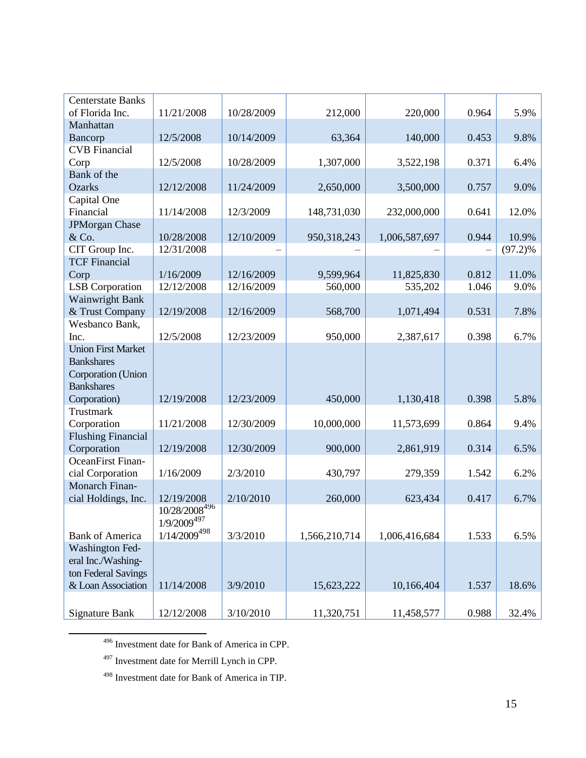| <b>Centerstate Banks</b>  |                           |            |               |               |       |            |
|---------------------------|---------------------------|------------|---------------|---------------|-------|------------|
| of Florida Inc.           | 11/21/2008                | 10/28/2009 | 212,000       | 220,000       | 0.964 | 5.9%       |
| Manhattan                 |                           |            |               |               |       |            |
| Bancorp                   | 12/5/2008                 | 10/14/2009 | 63,364        | 140,000       | 0.453 | 9.8%       |
| <b>CVB</b> Financial      |                           |            |               |               |       |            |
| Corp                      | 12/5/2008                 | 10/28/2009 | 1,307,000     | 3,522,198     | 0.371 | 6.4%       |
| Bank of the               |                           |            |               |               |       |            |
| <b>Ozarks</b>             | 12/12/2008                | 11/24/2009 | 2,650,000     | 3,500,000     | 0.757 | 9.0%       |
| Capital One               |                           |            |               |               |       |            |
| Financial                 | 11/14/2008                | 12/3/2009  | 148,731,030   | 232,000,000   | 0.641 | 12.0%      |
| <b>JPMorgan Chase</b>     |                           |            |               |               |       |            |
| & Co.                     | 10/28/2008                | 12/10/2009 | 950,318,243   | 1,006,587,697 | 0.944 | 10.9%      |
| CIT Group Inc.            | 12/31/2008                |            |               |               |       | $(97.2)\%$ |
| <b>TCF Financial</b>      |                           |            |               |               |       |            |
| Corp                      | 1/16/2009                 | 12/16/2009 | 9,599,964     | 11,825,830    | 0.812 | 11.0%      |
| <b>LSB</b> Corporation    | 12/12/2008                | 12/16/2009 | 560,000       | 535,202       | 1.046 | 9.0%       |
| Wainwright Bank           |                           |            |               |               |       |            |
| & Trust Company           | 12/19/2008                | 12/16/2009 | 568,700       | 1,071,494     | 0.531 | 7.8%       |
| Wesbanco Bank,            |                           |            |               |               |       |            |
| Inc.                      | 12/5/2008                 | 12/23/2009 | 950,000       | 2,387,617     | 0.398 | 6.7%       |
| <b>Union First Market</b> |                           |            |               |               |       |            |
| <b>Bankshares</b>         |                           |            |               |               |       |            |
| Corporation (Union        |                           |            |               |               |       |            |
| <b>Bankshares</b>         |                           |            |               |               |       |            |
| Corporation)              | 12/19/2008                | 12/23/2009 | 450,000       | 1,130,418     | 0.398 | 5.8%       |
| <b>Trustmark</b>          |                           |            |               |               |       |            |
| Corporation               | 11/21/2008                | 12/30/2009 | 10,000,000    | 11,573,699    | 0.864 | 9.4%       |
| <b>Flushing Financial</b> |                           |            |               |               |       |            |
| Corporation               | 12/19/2008                | 12/30/2009 | 900,000       | 2,861,919     | 0.314 | 6.5%       |
| OceanFirst Finan-         |                           |            |               |               |       |            |
| cial Corporation          | 1/16/2009                 | 2/3/2010   | 430,797       | 279,359       | 1.542 | 6.2%       |
| Monarch Finan-            |                           |            |               |               |       |            |
| cial Holdings, Inc.       | 12/19/2008                | 2/10/2010  | 260,000       | 623,434       | 0.417 | 6.7%       |
|                           | 10/28/2008 <sup>496</sup> |            |               |               |       |            |
|                           | $1/9/2009^{497}$          |            |               |               |       |            |
| <b>Bank of America</b>    | $1/14/2009^{498}$         | 3/3/2010   | 1,566,210,714 | 1,006,416,684 | 1.533 | 6.5%       |
| Washington Fed-           |                           |            |               |               |       |            |
| eral Inc./Washing-        |                           |            |               |               |       |            |
| ton Federal Savings       |                           |            |               |               |       |            |
| & Loan Association        | 11/14/2008                | 3/9/2010   | 15,623,222    | 10,166,404    | 1.537 | 18.6%      |
|                           |                           |            |               |               |       |            |
| <b>Signature Bank</b>     | 12/12/2008                | 3/10/2010  | 11,320,751    | 11,458,577    | 0.988 | 32.4%      |

<sup>496</sup> Investment date for Bank of America in CPP.

<sup>497</sup> Investment date for Merrill Lynch in CPP.

 $\overline{\phantom{a}}$ 

<sup>498</sup> Investment date for Bank of America in TIP.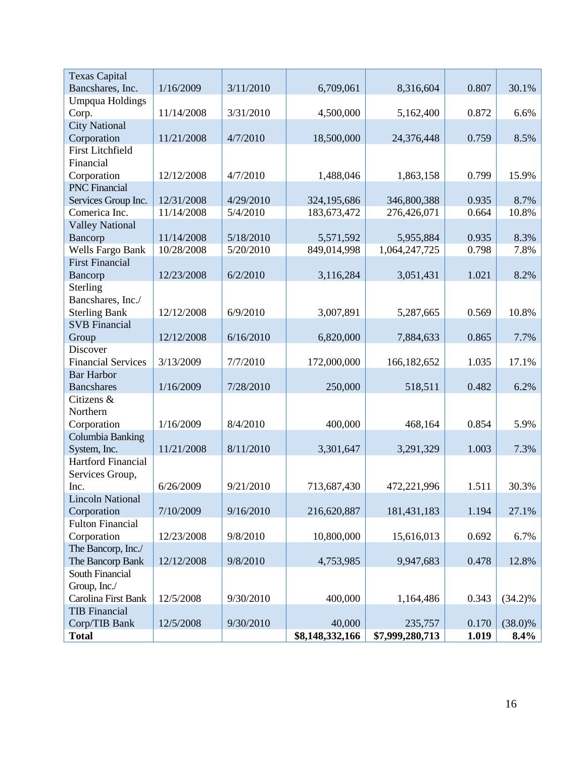| <b>Texas Capital</b>      |            |           |                 |                 |       |            |
|---------------------------|------------|-----------|-----------------|-----------------|-------|------------|
| Bancshares, Inc.          | 1/16/2009  | 3/11/2010 | 6,709,061       | 8,316,604       | 0.807 | 30.1%      |
| <b>Umpqua Holdings</b>    |            |           |                 |                 |       |            |
| Corp.                     | 11/14/2008 | 3/31/2010 | 4,500,000       | 5,162,400       | 0.872 | 6.6%       |
| <b>City National</b>      |            |           |                 |                 |       |            |
| Corporation               | 11/21/2008 | 4/7/2010  | 18,500,000      | 24,376,448      | 0.759 | 8.5%       |
| <b>First Litchfield</b>   |            |           |                 |                 |       |            |
| Financial                 |            |           |                 |                 |       |            |
| Corporation               | 12/12/2008 | 4/7/2010  | 1,488,046       | 1,863,158       | 0.799 | 15.9%      |
| <b>PNC</b> Financial      |            |           |                 |                 |       |            |
| Services Group Inc.       | 12/31/2008 | 4/29/2010 | 324,195,686     | 346,800,388     | 0.935 | 8.7%       |
| Comerica Inc.             | 11/14/2008 | 5/4/2010  | 183,673,472     | 276,426,071     | 0.664 | 10.8%      |
| <b>Valley National</b>    |            |           |                 |                 |       |            |
| Bancorp                   | 11/14/2008 | 5/18/2010 | 5,571,592       | 5,955,884       | 0.935 | 8.3%       |
| Wells Fargo Bank          | 10/28/2008 | 5/20/2010 | 849,014,998     | 1,064,247,725   | 0.798 | 7.8%       |
| <b>First Financial</b>    |            |           |                 |                 |       |            |
| Bancorp                   | 12/23/2008 | 6/2/2010  | 3,116,284       | 3,051,431       | 1.021 | 8.2%       |
| Sterling                  |            |           |                 |                 |       |            |
| Bancshares, Inc./         |            |           |                 |                 |       |            |
| <b>Sterling Bank</b>      | 12/12/2008 | 6/9/2010  | 3,007,891       | 5,287,665       | 0.569 | 10.8%      |
| <b>SVB</b> Financial      |            |           |                 |                 |       |            |
| Group                     | 12/12/2008 | 6/16/2010 | 6,820,000       | 7,884,633       | 0.865 | 7.7%       |
| Discover                  |            |           |                 |                 |       |            |
| <b>Financial Services</b> | 3/13/2009  | 7/7/2010  | 172,000,000     | 166,182,652     | 1.035 | 17.1%      |
| <b>Bar Harbor</b>         |            |           |                 |                 |       |            |
| <b>Bancshares</b>         | 1/16/2009  | 7/28/2010 | 250,000         | 518,511         | 0.482 | 6.2%       |
| Citizens &                |            |           |                 |                 |       |            |
| Northern                  |            |           |                 |                 |       |            |
| Corporation               | 1/16/2009  | 8/4/2010  | 400,000         | 468,164         | 0.854 | 5.9%       |
| Columbia Banking          |            |           |                 |                 |       |            |
| System, Inc.              | 11/21/2008 | 8/11/2010 | 3,301,647       | 3,291,329       | 1.003 | 7.3%       |
| Hartford Financial        |            |           |                 |                 |       |            |
| Services Group,           |            |           |                 |                 |       |            |
| Inc.                      | 6/26/2009  | 9/21/2010 | 713,687,430     | 472,221,996     | 1.511 | 30.3%      |
| <b>Lincoln National</b>   |            |           |                 |                 |       |            |
| Corporation               | 7/10/2009  | 9/16/2010 | 216,620,887     | 181,431,183     | 1.194 | 27.1%      |
| <b>Fulton Financial</b>   |            |           |                 |                 |       |            |
| Corporation               | 12/23/2008 | 9/8/2010  | 10,800,000      | 15,616,013      | 0.692 | 6.7%       |
| The Bancorp, Inc./        |            |           |                 |                 |       |            |
| The Bancorp Bank          | 12/12/2008 | 9/8/2010  | 4,753,985       | 9,947,683       | 0.478 | 12.8%      |
| South Financial           |            |           |                 |                 |       |            |
| Group, Inc./              |            |           |                 |                 |       |            |
| Carolina First Bank       | 12/5/2008  | 9/30/2010 | 400,000         | 1,164,486       | 0.343 | $(34.2)\%$ |
| <b>TIB</b> Financial      |            |           |                 |                 |       |            |
| Corp/TIB Bank             | 12/5/2008  | 9/30/2010 | 40,000          | 235,757         | 0.170 | $(38.0)\%$ |
| <b>Total</b>              |            |           | \$8,148,332,166 | \$7,999,280,713 | 1.019 | $8.4\%$    |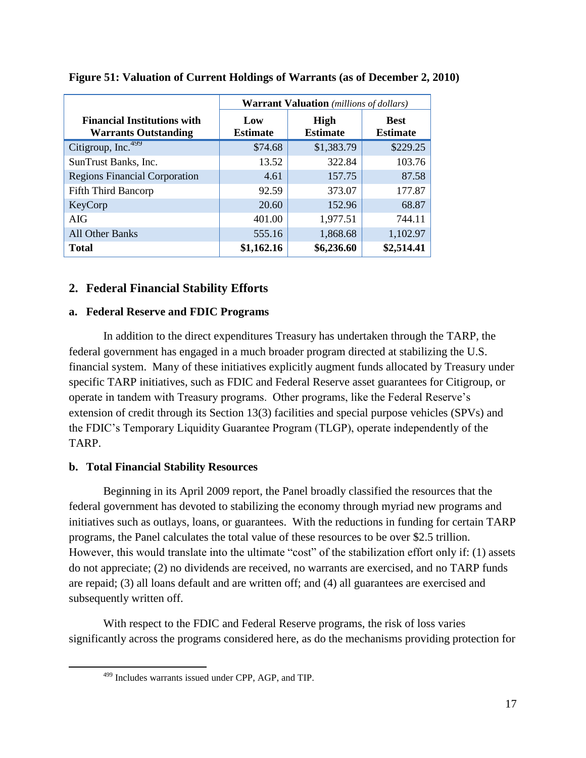|                                                                   | <b>Warrant Valuation</b> (millions of dollars) |                                |                                |  |  |  |
|-------------------------------------------------------------------|------------------------------------------------|--------------------------------|--------------------------------|--|--|--|
| <b>Financial Institutions with</b><br><b>Warrants Outstanding</b> | Low<br><b>Estimate</b>                         | <b>High</b><br><b>Estimate</b> | <b>Best</b><br><b>Estimate</b> |  |  |  |
| Citigroup, Inc. <sup>499</sup>                                    | \$74.68                                        | \$1,383.79                     | \$229.25                       |  |  |  |
| SunTrust Banks, Inc.                                              | 13.52                                          | 322.84                         | 103.76                         |  |  |  |
| <b>Regions Financial Corporation</b>                              | 4.61                                           | 157.75                         | 87.58                          |  |  |  |
| <b>Fifth Third Bancorp</b>                                        | 92.59                                          | 373.07                         | 177.87                         |  |  |  |
| KeyCorp                                                           | 20.60                                          | 152.96                         | 68.87                          |  |  |  |
| AIG                                                               | 401.00                                         | 1,977.51                       | 744.11                         |  |  |  |
| All Other Banks                                                   | 555.16                                         | 1,868.68                       | 1,102.97                       |  |  |  |
| <b>Total</b>                                                      | \$1,162.16                                     | \$6,236.60                     | \$2,514.41                     |  |  |  |

# **Figure 51: Valuation of Current Holdings of Warrants (as of December 2, 2010)**

# **2. Federal Financial Stability Efforts**

# **a. Federal Reserve and FDIC Programs**

In addition to the direct expenditures Treasury has undertaken through the TARP, the federal government has engaged in a much broader program directed at stabilizing the U.S. financial system. Many of these initiatives explicitly augment funds allocated by Treasury under specific TARP initiatives, such as FDIC and Federal Reserve asset guarantees for Citigroup, or operate in tandem with Treasury programs. Other programs, like the Federal Reserve's extension of credit through its Section 13(3) facilities and special purpose vehicles (SPVs) and the FDIC's Temporary Liquidity Guarantee Program (TLGP), operate independently of the TARP.

# **b. Total Financial Stability Resources**

 $\overline{\phantom{a}}$ 

Beginning in its April 2009 report, the Panel broadly classified the resources that the federal government has devoted to stabilizing the economy through myriad new programs and initiatives such as outlays, loans, or guarantees. With the reductions in funding for certain TARP programs, the Panel calculates the total value of these resources to be over \$2.5 trillion. However, this would translate into the ultimate "cost" of the stabilization effort only if: (1) assets do not appreciate; (2) no dividends are received, no warrants are exercised, and no TARP funds are repaid; (3) all loans default and are written off; and (4) all guarantees are exercised and subsequently written off.

With respect to the FDIC and Federal Reserve programs, the risk of loss varies significantly across the programs considered here, as do the mechanisms providing protection for

<sup>499</sup> Includes warrants issued under CPP, AGP, and TIP.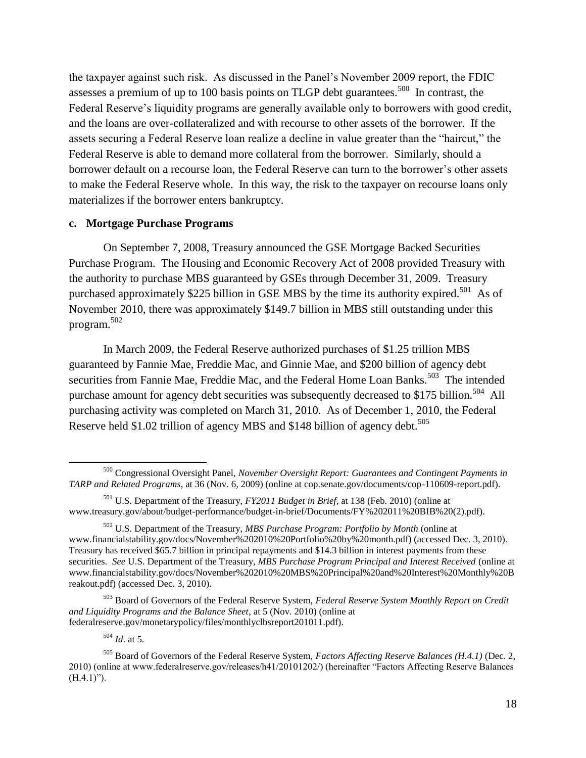the taxpayer against such risk. As discussed in the Panel's November 2009 report, the FDIC assesses a premium of up to 100 basis points on TLGP debt guarantees.<sup>500</sup> In contrast, the Federal Reserve's liquidity programs are generally available only to borrowers with good credit, and the loans are over-collateralized and with recourse to other assets of the borrower. If the assets securing a Federal Reserve loan realize a decline in value greater than the "haircut," the Federal Reserve is able to demand more collateral from the borrower. Similarly, should a borrower default on a recourse loan, the Federal Reserve can turn to the borrower's other assets to make the Federal Reserve whole. In this way, the risk to the taxpayer on recourse loans only materializes if the borrower enters bankruptcy.

#### **c. Mortgage Purchase Programs**

On September 7, 2008, Treasury announced the GSE Mortgage Backed Securities Purchase Program. The Housing and Economic Recovery Act of 2008 provided Treasury with the authority to purchase MBS guaranteed by GSEs through December 31, 2009. Treasury purchased approximately \$225 billion in GSE MBS by the time its authority expired.<sup>501</sup> As of November 2010, there was approximately \$149.7 billion in MBS still outstanding under this program.<sup>502</sup>

In March 2009, the Federal Reserve authorized purchases of \$1.25 trillion MBS guaranteed by Fannie Mae, Freddie Mac, and Ginnie Mae, and \$200 billion of agency debt securities from Fannie Mae, Freddie Mac, and the Federal Home Loan Banks.<sup>503</sup> The intended purchase amount for agency debt securities was subsequently decreased to \$175 billion.<sup>504</sup> All purchasing activity was completed on March 31, 2010. As of December 1, 2010, the Federal Reserve held \$1.02 trillion of agency MBS and \$148 billion of agency debt.<sup>505</sup>

<sup>503</sup> Board of Governors of the Federal Reserve System, *Federal Reserve System Monthly Report on Credit and Liquidity Programs and the Balance Sheet*, at 5 (Nov. 2010) (online at federalreserve.gov/monetarypolicy/files/monthlyclbsreport201011.pdf).

<sup>504</sup> *Id*. at 5.

 $\overline{\phantom{a}}$ 

<sup>500</sup> Congressional Oversight Panel, *November Oversight Report: Guarantees and Contingent Payments in TARP and Related Programs*, at 36 (Nov. 6, 2009) (online at cop.senate.gov/documents/cop-110609-report.pdf).

<sup>501</sup> U.S. Department of the Treasury, *FY2011 Budget in Brief*, at 138 (Feb. 2010) (online at www.treasury.gov/about/budget-performance/budget-in-brief/Documents/FY%202011%20BIB%20(2).pdf).

<sup>502</sup> U.S. Department of the Treasury, *MBS Purchase Program: Portfolio by Month* (online at www.financialstability.gov/docs/November%202010%20Portfolio%20by%20month.pdf) (accessed Dec. 3, 2010). Treasury has received \$65.7 billion in principal repayments and \$14.3 billion in interest payments from these securities. *See* U.S. Department of the Treasury, *MBS Purchase Program Principal and Interest Received* (online at www.financialstability.gov/docs/November%202010%20MBS%20Principal%20and%20Interest%20Monthly%20B reakout.pdf) (accessed Dec. 3, 2010).

<sup>505</sup> Board of Governors of the Federal Reserve System, *Factors Affecting Reserve Balances (H.4.1)* (Dec. 2, 2010) (online at www.federalreserve.gov/releases/h41/20101202/) (hereinafter "Factors Affecting Reserve Balances  $(H.4.1)$ ").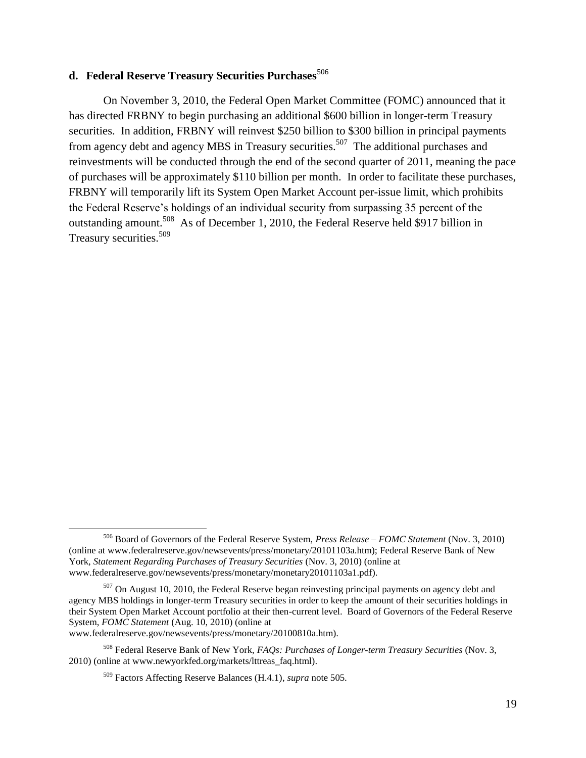# d. Federal Reserve Treasury Securities Purchases<sup>506</sup>

On November 3, 2010, the Federal Open Market Committee (FOMC) announced that it has directed FRBNY to begin purchasing an additional \$600 billion in longer-term Treasury securities. In addition, FRBNY will reinvest \$250 billion to \$300 billion in principal payments from agency debt and agency MBS in Treasury securities.<sup>507</sup> The additional purchases and reinvestments will be conducted through the end of the second quarter of 2011, meaning the pace of purchases will be approximately \$110 billion per month. In order to facilitate these purchases, FRBNY will temporarily lift its System Open Market Account per-issue limit, which prohibits the Federal Reserve's holdings of an individual security from surpassing 35 percent of the outstanding amount.<sup>508</sup> As of December 1, 2010, the Federal Reserve held \$917 billion in Treasury securities.<sup>509</sup>

www.federalreserve.gov/newsevents/press/monetary/20100810a.htm).

 $\overline{a}$ 

<sup>506</sup> Board of Governors of the Federal Reserve System, *Press Release – FOMC Statement* (Nov. 3, 2010) (online at www.federalreserve.gov/newsevents/press/monetary/20101103a.htm); Federal Reserve Bank of New York, *Statement Regarding Purchases of Treasury Securities* (Nov. 3, 2010) (online at www.federalreserve.gov/newsevents/press/monetary/monetary20101103a1.pdf).

 $507$  On August 10, 2010, the Federal Reserve began reinvesting principal payments on agency debt and agency MBS holdings in longer-term Treasury securities in order to keep the amount of their securities holdings in their System Open Market Account portfolio at their then-current level. Board of Governors of the Federal Reserve System, *FOMC Statement* (Aug. 10, 2010) (online at

<sup>508</sup> Federal Reserve Bank of New York, *FAQs: Purchases of Longer-term Treasury Securities* (Nov. 3, 2010) (online at www.newyorkfed.org/markets/lttreas\_faq.html).

<sup>509</sup> Factors Affecting Reserve Balances (H.4.1), *supra* note 505.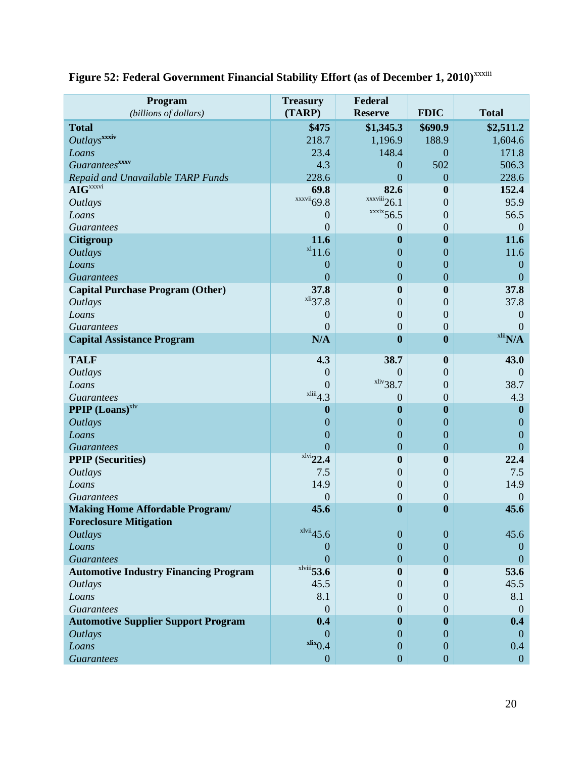| Program<br>(billions of dollars)             | <b>Treasury</b><br>(TARP) | Federal<br><b>Reserve</b>             | <b>FDIC</b>      | <b>Total</b>        |
|----------------------------------------------|---------------------------|---------------------------------------|------------------|---------------------|
| <b>Total</b>                                 | \$475                     | \$1,345.3                             | \$690.9          | \$2,511.2           |
| Outlays <sup>xxxiv</sup>                     | 218.7                     | 1,196.9                               | 188.9            | 1,604.6             |
| Loans                                        | 23.4                      | 148.4                                 | $\boldsymbol{0}$ | 171.8               |
| <b>Guarantees</b> <sup>xxxv</sup>            | 4.3                       | $\theta$                              | 502              | 506.3               |
| Repaid and Unavailable TARP Funds            | 228.6                     | $\overline{0}$                        | $\overline{0}$   | 228.6               |
| $\mathbf{AIG}^{xxxxvi}$                      | 69.8                      | 82.6                                  | $\bf{0}$         | 152.4               |
| <b>Outlays</b>                               | $\frac{xxvii}{69.8}$      | $\frac{x}{x}$ <sup>xxxviii</sup> 26.1 | $\overline{0}$   | 95.9                |
| Loans                                        | $\theta$                  | $\frac{xx}{x}$ 56.5                   | $\overline{0}$   | 56.5                |
| <b>Guarantees</b>                            | $\mathbf{0}$              | $\theta$                              | 0                | $\Omega$            |
| <b>Citigroup</b>                             | 11.6                      | $\boldsymbol{0}$                      | $\boldsymbol{0}$ | 11.6                |
| <b>Outlays</b>                               | $x_1$ 11.6                | $\mathbf{0}$                          | $\overline{0}$   | 11.6                |
| Loans                                        | $\boldsymbol{0}$          | $\mathbf{0}$                          | $\overline{0}$   | $\boldsymbol{0}$    |
| <b>Guarantees</b>                            | $\overline{0}$            | $\boldsymbol{0}$                      | $\overline{0}$   | $\overline{0}$      |
| <b>Capital Purchase Program (Other)</b>      | 37.8                      | $\boldsymbol{0}$                      | $\boldsymbol{0}$ | 37.8                |
| <b>Outlays</b>                               | $x^{1i}37.8$              | $\boldsymbol{0}$                      | $\overline{0}$   | 37.8                |
| Loans                                        | $\boldsymbol{0}$          | $\boldsymbol{0}$                      | 0                | $\overline{0}$      |
| <b>Guarantees</b>                            | $\overline{0}$            | $\boldsymbol{0}$                      | $\overline{0}$   | $\overline{0}$      |
| <b>Capital Assistance Program</b>            | N/A                       | $\boldsymbol{0}$                      | $\bf{0}$         | $x^{\text{li}}$ N/A |
| <b>TALF</b>                                  | 4.3                       | 38.7                                  | $\boldsymbol{0}$ | 43.0                |
| <b>Outlays</b>                               | $\theta$                  | $\overline{0}$                        | $\overline{0}$   | $\theta$            |
| Loans                                        | $\overline{0}$            | $x$ liv <sub>38.7</sub>               | $\overline{0}$   | 38.7                |
| <b>Guarantees</b>                            | $x^{\text{liii}}$ 4.3     | $\overline{0}$                        | $\overline{0}$   | 4.3                 |
| <b>PPIP</b> (Loans) <sup>xlv</sup>           | $\boldsymbol{0}$          | $\boldsymbol{0}$                      | $\bf{0}$         | $\mathbf{0}$        |
| <b>Outlays</b>                               | $\boldsymbol{0}$          | $\boldsymbol{0}$                      | $\overline{0}$   | $\theta$            |
| Loans                                        | $\boldsymbol{0}$          | $\boldsymbol{0}$                      | $\overline{0}$   | $\overline{0}$      |
| <b>Guarantees</b>                            | $\overline{0}$            | $\boldsymbol{0}$                      | $\overline{0}$   | $\overline{0}$      |
| <b>PPIP</b> (Securities)                     | $x1ivi$ 22.4              | $\boldsymbol{0}$                      | $\bf{0}$         | 22.4                |
| <b>Outlays</b>                               | 7.5                       | $\boldsymbol{0}$                      | $\overline{0}$   | 7.5                 |
| Loans                                        | 14.9                      | $\boldsymbol{0}$                      | 0                | 14.9                |
| <b>Guarantees</b>                            | $\theta$                  | $\boldsymbol{0}$                      | $\mathbf{0}$     | $\overline{0}$      |
| <b>Making Home Affordable Program/</b>       | 45.6                      | $\boldsymbol{0}$                      | $\bf{0}$         | 45.6                |
| <b>Foreclosure Mitigation</b>                |                           |                                       |                  |                     |
| <b>Outlays</b>                               | $x$ lvii $45.6$           | $\boldsymbol{0}$                      | $\boldsymbol{0}$ | 45.6                |
| Loans                                        | $\boldsymbol{0}$          | $\overline{0}$                        | $\theta$         | $\theta$            |
| <b>Guarantees</b>                            | $\overline{0}$            | $\overline{0}$                        | $\overline{0}$   | $\theta$            |
| <b>Automotive Industry Financing Program</b> | $x$ lviii $53.6$          | $\boldsymbol{0}$                      | $\bf{0}$         | 53.6                |
| <b>Outlays</b>                               | 45.5                      | $\theta$                              | $\Omega$         | 45.5                |
| Loans                                        | 8.1                       | $\overline{0}$                        | $\overline{0}$   | 8.1                 |
| <b>Guarantees</b>                            | $\mathbf{0}$              | $\boldsymbol{0}$                      | $\mathbf{0}$     | $\overline{0}$      |
| <b>Automotive Supplier Support Program</b>   | 0.4                       | $\boldsymbol{0}$                      | $\bf{0}$         | 0.4                 |
| <b>Outlays</b>                               | $\Omega$                  | $\overline{0}$                        | $\Omega$         | $\theta$            |
| Loans                                        | $\frac{\text{rlix}}{0.4}$ | $\boldsymbol{0}$                      | $\theta$         | 0.4                 |
| <b>Guarantees</b>                            | $\boldsymbol{0}$          | $\boldsymbol{0}$                      | $\boldsymbol{0}$ | $\mathbf{0}$        |

# Figure 52: Federal Government Financial Stability Effort (as of December 1, 2010)<sup>xxxiii</sup>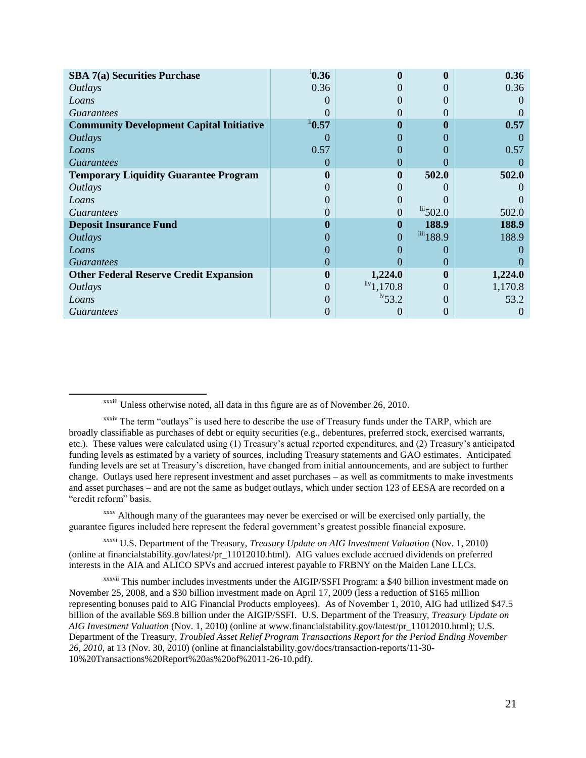| SBA 7(a) Securities Purchase                    | $^{1}$ 0.36           |                              |                             | 0.36     |
|-------------------------------------------------|-----------------------|------------------------------|-----------------------------|----------|
| <i><b>Outlays</b></i>                           | 0.36                  | 0                            |                             | 0.36     |
| Loans                                           | $\mathbf{0}$          | 0                            |                             |          |
| <b>Guarantees</b>                               | $\left( \right)$      | 0                            | $\mathbf{\Omega}$           |          |
| <b>Community Development Capital Initiative</b> | $\mathrm{^{li} 0.57}$ | 0                            | 0                           | 0.57     |
| <b>Outlays</b>                                  | $\left( \right)$      | 0                            |                             |          |
| Loans                                           | 0.57                  | 0                            | $\mathbf{\Omega}$           | 0.57     |
| <i>Guarantees</i>                               | $\theta$              | $\theta$                     | $\theta$                    |          |
| <b>Temporary Liquidity Guarantee Program</b>    | 0                     | $\bf{0}$                     | 502.0                       | 502.0    |
| <i>Outlays</i>                                  | $\theta$              | 0                            |                             |          |
| Loans                                           | 0                     | 0                            |                             |          |
| <i>Guarantees</i>                               | 0                     | $\theta$                     | $\frac{\text{li}}{2}$ 502.0 | 502.0    |
| <b>Deposit Insurance Fund</b>                   | 0                     | $\bf{0}$                     | 188.9                       | 188.9    |
| <i><b>Outlays</b></i>                           | 0                     | 0                            | $10^{111}$ 188.9            | 188.9    |
| Loans                                           | 0                     | 0                            | $\theta$                    |          |
| <i>Guarantees</i>                               | $\overline{0}$        | 0                            | $\theta$                    |          |
| <b>Other Federal Reserve Credit Expansion</b>   | $\boldsymbol{0}$      | 1,224.0                      | 0                           | 1,224.0  |
| <i><b>Outlays</b></i>                           | $\overline{0}$        | $\frac{\text{liv}}{1,170.8}$ | $\Omega$                    | 1,170.8  |
| Loans                                           | 0                     | $\frac{1}{53.2}$             | $\mathbf{\Omega}$           | 53.2     |
| <i>Guarantees</i>                               | 0                     | 0                            | $\theta$                    | $\theta$ |

 $\overline{a}$ 

xxxv Although many of the guarantees may never be exercised or will be exercised only partially, the guarantee figures included here represent the federal government's greatest possible financial exposure.

xxxvi U.S. Department of the Treasury, *Treasury Update on AIG Investment Valuation* (Nov. 1, 2010) (online at financialstability.gov/latest/pr\_11012010.html). AIG values exclude accrued dividends on preferred interests in the AIA and ALICO SPVs and accrued interest payable to FRBNY on the Maiden Lane LLCs.

xxxvii This number includes investments under the AIGIP/SSFI Program: a \$40 billion investment made on November 25, 2008, and a \$30 billion investment made on April 17, 2009 (less a reduction of \$165 million representing bonuses paid to AIG Financial Products employees). As of November 1, 2010, AIG had utilized \$47.5 billion of the available \$69.8 billion under the AIGIP/SSFI. U.S. Department of the Treasury, *Treasury Update on AIG Investment Valuation* (Nov. 1, 2010) (online at www.financialstability.gov/latest/pr\_11012010.html); U.S. Department of the Treasury, *Troubled Asset Relief Program Transactions Report for the Period Ending November 26, 2010,* at 13 (Nov. 30, 2010) (online at financialstability.gov/docs/transaction-reports/11-30- 10%20Transactions%20Report%20as%20of%2011-26-10.pdf).

xxxiii Unless otherwise noted, all data in this figure are as of November 26, 2010.

xxxiv The term "outlays" is used here to describe the use of Treasury funds under the TARP, which are broadly classifiable as purchases of debt or equity securities (e.g., debentures, preferred stock, exercised warrants, etc.). These values were calculated using (1) Treasury's actual reported expenditures, and (2) Treasury's anticipated funding levels as estimated by a variety of sources, including Treasury statements and GAO estimates. Anticipated funding levels are set at Treasury's discretion, have changed from initial announcements, and are subject to further change. Outlays used here represent investment and asset purchases – as well as commitments to make investments and asset purchases – and are not the same as budget outlays, which under section 123 of EESA are recorded on a "credit reform" basis.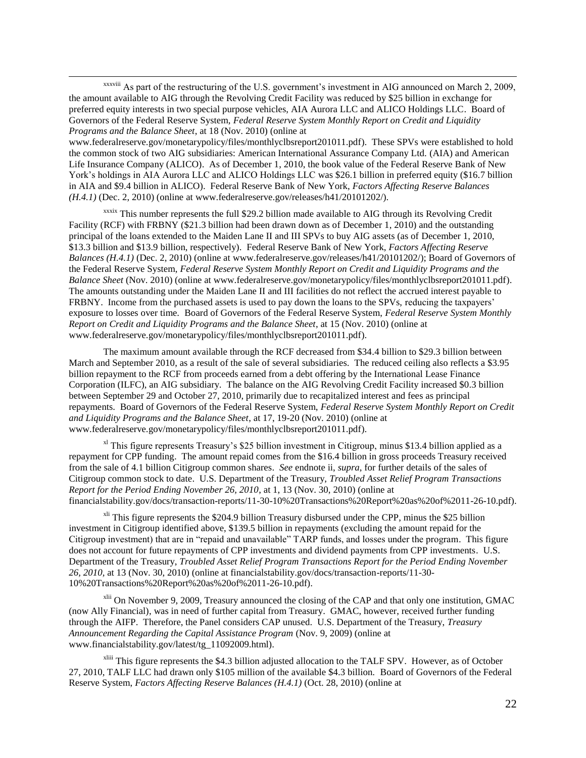xxxviii As part of the restructuring of the U.S. government's investment in AIG announced on March 2, 2009, the amount available to AIG through the Revolving Credit Facility was reduced by \$25 billion in exchange for preferred equity interests in two special purpose vehicles, AIA Aurora LLC and ALICO Holdings LLC. Board of Governors of the Federal Reserve System, *Federal Reserve System Monthly Report on Credit and Liquidity Programs and the Balance Sheet*, at 18 (Nov. 2010) (online at

 $\overline{\phantom{a}}$ 

www.federalreserve.gov/monetarypolicy/files/monthlyclbsreport201011.pdf). These SPVs were established to hold the common stock of two AIG subsidiaries: American International Assurance Company Ltd. (AIA) and American Life Insurance Company (ALICO). As of December 1, 2010, the book value of the Federal Reserve Bank of New York's holdings in AIA Aurora LLC and ALICO Holdings LLC was \$26.1 billion in preferred equity (\$16.7 billion in AIA and \$9.4 billion in ALICO). Federal Reserve Bank of New York, *Factors Affecting Reserve Balances (H.4.1)* (Dec. 2, 2010) (online at www.federalreserve.gov/releases/h41/20101202/).

xxxix This number represents the full \$29.2 billion made available to AIG through its Revolving Credit Facility (RCF) with FRBNY (\$21.3 billion had been drawn down as of December 1, 2010) and the outstanding principal of the loans extended to the Maiden Lane II and III SPVs to buy AIG assets (as of December 1, 2010, \$13.3 billion and \$13.9 billion, respectively). Federal Reserve Bank of New York, *Factors Affecting Reserve Balances (H.4.1)* (Dec. 2, 2010) (online at www.federalreserve.gov/releases/h41/20101202/); Board of Governors of the Federal Reserve System, *Federal Reserve System Monthly Report on Credit and Liquidity Programs and the Balance Sheet* (Nov. 2010) (online at www.federalreserve.gov/monetarypolicy/files/monthlyclbsreport201011.pdf). The amounts outstanding under the Maiden Lane II and III facilities do not reflect the accrued interest payable to FRBNY. Income from the purchased assets is used to pay down the loans to the SPVs, reducing the taxpayers' exposure to losses over time. Board of Governors of the Federal Reserve System, *Federal Reserve System Monthly Report on Credit and Liquidity Programs and the Balance Sheet*, at 15 (Nov. 2010) (online at www.federalreserve.gov/monetarypolicy/files/monthlyclbsreport201011.pdf).

The maximum amount available through the RCF decreased from \$34.4 billion to \$29.3 billion between March and September 2010, as a result of the sale of several subsidiaries. The reduced ceiling also reflects a \$3.95 billion repayment to the RCF from proceeds earned from a debt offering by the International Lease Finance Corporation (ILFC), an AIG subsidiary. The balance on the AIG Revolving Credit Facility increased \$0.3 billion between September 29 and October 27, 2010, primarily due to recapitalized interest and fees as principal repayments. Board of Governors of the Federal Reserve System, *Federal Reserve System Monthly Report on Credit and Liquidity Programs and the Balance Sheet*, at 17, 19-20 (Nov. 2010) (online at www.federalreserve.gov/monetarypolicy/files/monthlyclbsreport201011.pdf).

<sup>xl</sup> This figure represents Treasury's \$25 billion investment in Citigroup, minus \$13.4 billion applied as a repayment for CPP funding. The amount repaid comes from the \$16.4 billion in gross proceeds Treasury received from the sale of 4.1 billion Citigroup common shares. *See* endnote ii, *supra*, for further details of the sales of Citigroup common stock to date. U.S. Department of the Treasury, *Troubled Asset Relief Program Transactions Report for the Period Ending November 26, 2010*, at 1, 13 (Nov. 30, 2010) (online at financialstability.gov/docs/transaction-reports/11-30-10%20Transactions%20Report%20as%20of%2011-26-10.pdf).

 $x<sup>II</sup>$  This figure represents the \$204.9 billion Treasury disbursed under the CPP, minus the \$25 billion investment in Citigroup identified above, \$139.5 billion in repayments (excluding the amount repaid for the Citigroup investment) that are in "repaid and unavailable" TARP funds, and losses under the program. This figure does not account for future repayments of CPP investments and dividend payments from CPP investments. U.S. Department of the Treasury, *Troubled Asset Relief Program Transactions Report for the Period Ending November 26, 2010,* at 13 (Nov. 30, 2010) (online at financialstability.gov/docs/transaction-reports/11-30- 10%20Transactions%20Report%20as%20of%2011-26-10.pdf).

 $x<sup>lii</sup>$  On November 9, 2009, Treasury announced the closing of the CAP and that only one institution, GMAC (now Ally Financial), was in need of further capital from Treasury. GMAC, however, received further funding through the AIFP. Therefore, the Panel considers CAP unused. U.S. Department of the Treasury, *Treasury Announcement Regarding the Capital Assistance Program* (Nov. 9, 2009) (online at www.financialstability.gov/latest/tg\_11092009.html).

xliii This figure represents the \$4.3 billion adjusted allocation to the TALF SPV. However, as of October 27, 2010, TALF LLC had drawn only \$105 million of the available \$4.3 billion. Board of Governors of the Federal Reserve System, *Factors Affecting Reserve Balances (H.4.1)* (Oct. 28, 2010) (online at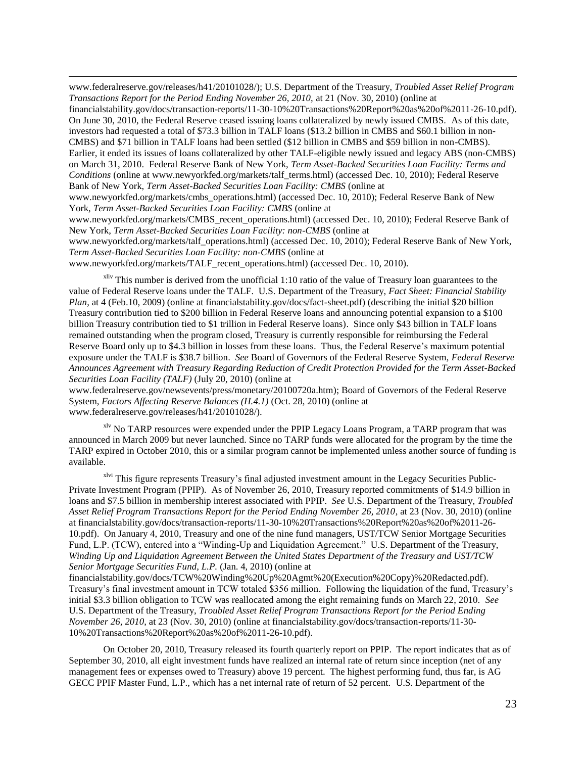www.federalreserve.gov/releases/h41/20101028/); U.S. Department of the Treasury, *Troubled Asset Relief Program Transactions Report for the Period Ending November 26, 2010,* at 21 (Nov. 30, 2010) (online at

financialstability.gov/docs/transaction-reports/11-30-10%20Transactions%20Report%20as%20of%2011-26-10.pdf). On June 30, 2010, the Federal Reserve ceased issuing loans collateralized by newly issued CMBS. As of this date, investors had requested a total of \$73.3 billion in TALF loans (\$13.2 billion in CMBS and \$60.1 billion in non-CMBS) and \$71 billion in TALF loans had been settled (\$12 billion in CMBS and \$59 billion in non-CMBS). Earlier, it ended its issues of loans collateralized by other TALF-eligible newly issued and legacy ABS (non-CMBS) on March 31, 2010. Federal Reserve Bank of New York, *Term Asset-Backed Securities Loan Facility: Terms and Conditions* (online at www.newyorkfed.org/markets/talf\_terms.html) (accessed Dec. 10, 2010); Federal Reserve Bank of New York, *Term Asset-Backed Securities Loan Facility: CMBS* (online at

www.newyorkfed.org/markets/cmbs\_operations.html) (accessed Dec. 10, 2010); Federal Reserve Bank of New York, *Term Asset-Backed Securities Loan Facility: CMBS* (online at

www.newyorkfed.org/markets/CMBS\_recent\_operations.html) (accessed Dec. 10, 2010); Federal Reserve Bank of New York, *Term Asset-Backed Securities Loan Facility: non-CMBS* (online at

www.newyorkfed.org/markets/talf\_operations.html) (accessed Dec. 10, 2010); Federal Reserve Bank of New York, *Term Asset-Backed Securities Loan Facility: non-CMBS* (online at

www.newyorkfed.org/markets/TALF\_recent\_operations.html) (accessed Dec. 10, 2010).

 $\overline{\phantom{a}}$ 

 $x$ liv This number is derived from the unofficial 1:10 ratio of the value of Treasury loan guarantees to the value of Federal Reserve loans under the TALF. U.S. Department of the Treasury, *Fact Sheet: Financial Stability Plan*, at 4 (Feb.10, 2009) (online at financialstability.gov/docs/fact-sheet.pdf) (describing the initial \$20 billion Treasury contribution tied to \$200 billion in Federal Reserve loans and announcing potential expansion to a \$100 billion Treasury contribution tied to \$1 trillion in Federal Reserve loans). Since only \$43 billion in TALF loans remained outstanding when the program closed, Treasury is currently responsible for reimbursing the Federal Reserve Board only up to \$4.3 billion in losses from these loans. Thus, the Federal Reserve's maximum potential exposure under the TALF is \$38.7 billion. *See* Board of Governors of the Federal Reserve System, *Federal Reserve Announces Agreement with Treasury Regarding Reduction of Credit Protection Provided for the Term Asset-Backed Securities Loan Facility (TALF)* (July 20, 2010) (online at

www.federalreserve.gov/newsevents/press/monetary/20100720a.htm); Board of Governors of the Federal Reserve System, *Factors Affecting Reserve Balances (H.4.1)* (Oct. 28, 2010) (online at www.federalreserve.gov/releases/h41/20101028/).

<sup>xlv</sup> No TARP resources were expended under the PPIP Legacy Loans Program, a TARP program that was announced in March 2009 but never launched. Since no TARP funds were allocated for the program by the time the TARP expired in October 2010, this or a similar program cannot be implemented unless another source of funding is available.

xlvi This figure represents Treasury's final adjusted investment amount in the Legacy Securities Public-Private Investment Program (PPIP). As of November 26, 2010, Treasury reported commitments of \$14.9 billion in loans and \$7.5 billion in membership interest associated with PPIP. *See* U.S. Department of the Treasury, *Troubled Asset Relief Program Transactions Report for the Period Ending November 26, 2010*, at 23 (Nov. 30, 2010) (online at financialstability.gov/docs/transaction-reports/11-30-10%20Transactions%20Report%20as%20of%2011-26- 10.pdf). On January 4, 2010, Treasury and one of the nine fund managers, UST/TCW Senior Mortgage Securities Fund, L.P. (TCW), entered into a "Winding-Up and Liquidation Agreement." U.S. Department of the Treasury, *Winding Up and Liquidation Agreement Between the United States Department of the Treasury and UST/TCW Senior Mortgage Securities Fund, L.P.* (Jan. 4, 2010) (online at

financialstability.gov/docs/TCW%20Winding%20Up%20Agmt%20(Execution%20Copy)%20Redacted.pdf). Treasury's final investment amount in TCW totaled \$356 million. Following the liquidation of the fund, Treasury's initial \$3.3 billion obligation to TCW was reallocated among the eight remaining funds on March 22, 2010. *See*  U.S. Department of the Treasury, *Troubled Asset Relief Program Transactions Report for the Period Ending November 26, 2010*, at 23 (Nov. 30, 2010) (online at financialstability.gov/docs/transaction-reports/11-30- 10%20Transactions%20Report%20as%20of%2011-26-10.pdf).

On October 20, 2010, Treasury released its fourth quarterly report on PPIP. The report indicates that as of September 30, 2010, all eight investment funds have realized an internal rate of return since inception (net of any management fees or expenses owed to Treasury) above 19 percent. The highest performing fund, thus far, is AG GECC PPIF Master Fund, L.P., which has a net internal rate of return of 52 percent. U.S. Department of the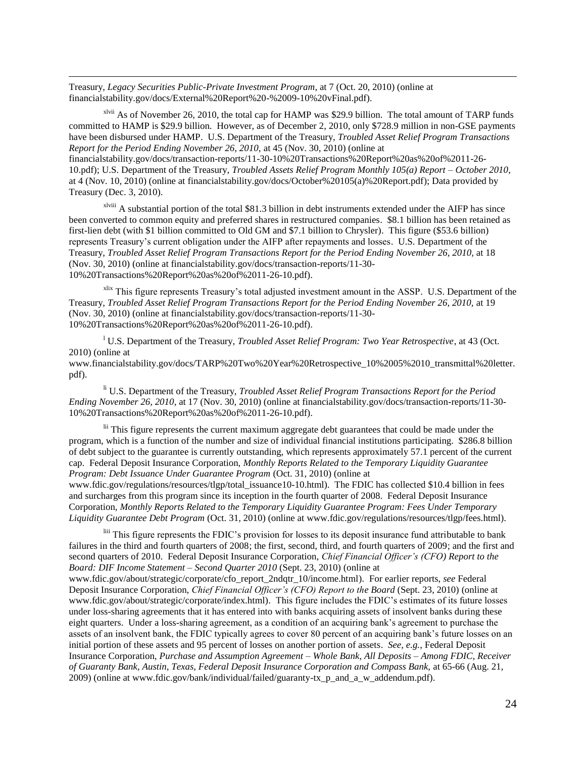Treasury, *Legacy Securities Public-Private Investment Program*, at 7 (Oct. 20, 2010) (online at financialstability.gov/docs/External%20Report%20-%2009-10%20vFinal.pdf).

 $\overline{\phantom{a}}$ 

 $x$ lvii As of November 26, 2010, the total cap for HAMP was \$29.9 billion. The total amount of TARP funds committed to HAMP is \$29.9 billion. However, as of December 2, 2010, only \$728.9 million in non-GSE payments have been disbursed under HAMP. U.S. Department of the Treasury, *Troubled Asset Relief Program Transactions Report for the Period Ending November 26, 2010,* at 45 (Nov. 30, 2010) (online at

financialstability.gov/docs/transaction-reports/11-30-10%20Transactions%20Report%20as%20of%2011-26- 10.pdf); U.S. Department of the Treasury, *Troubled Assets Relief Program Monthly 105(a) Report – October 2010*, at 4 (Nov. 10, 2010) (online at financialstability.gov/docs/October%20105(a)%20Report.pdf); Data provided by Treasury (Dec. 3, 2010).

xlviii A substantial portion of the total \$81.3 billion in debt instruments extended under the AIFP has since been converted to common equity and preferred shares in restructured companies. \$8.1 billion has been retained as first-lien debt (with \$1 billion committed to Old GM and \$7.1 billion to Chrysler). This figure (\$53.6 billion) represents Treasury's current obligation under the AIFP after repayments and losses. U.S. Department of the Treasury, *Troubled Asset Relief Program Transactions Report for the Period Ending November 26, 2010,* at 18 (Nov. 30, 2010) (online at financialstability.gov/docs/transaction-reports/11-30- 10%20Transactions%20Report%20as%20of%2011-26-10.pdf).

<sup>xlix</sup> This figure represents Treasury's total adjusted investment amount in the ASSP. U.S. Department of the Treasury, *Troubled Asset Relief Program Transactions Report for the Period Ending November 26, 2010,* at 19 (Nov. 30, 2010) (online at financialstability.gov/docs/transaction-reports/11-30- 10%20Transactions%20Report%20as%20of%2011-26-10.pdf).

<sup>l</sup> U.S. Department of the Treasury, *Troubled Asset Relief Program: Two Year Retrospective*, at 43 (Oct. 2010) (online at

www.financialstability.gov/docs/TARP%20Two%20Year%20Retrospective\_10%2005%2010\_transmittal%20letter. pdf).

li U.S. Department of the Treasury, *Troubled Asset Relief Program Transactions Report for the Period Ending November 26, 2010*, at 17 (Nov. 30, 2010) (online at financialstability.gov/docs/transaction-reports/11-30- 10%20Transactions%20Report%20as%20of%2011-26-10.pdf).

lii This figure represents the current maximum aggregate debt guarantees that could be made under the program, which is a function of the number and size of individual financial institutions participating. \$286.8 billion of debt subject to the guarantee is currently outstanding, which represents approximately 57.1 percent of the current cap. Federal Deposit Insurance Corporation, *Monthly Reports Related to the Temporary Liquidity Guarantee Program: Debt Issuance Under Guarantee Program* (Oct. 31, 2010) (online at www.fdic.gov/regulations/resources/tlgp/total\_issuance10-10.html). The FDIC has collected \$10.4 billion in fees and surcharges from this program since its inception in the fourth quarter of 2008. Federal Deposit Insurance

Corporation, *Monthly Reports Related to the Temporary Liquidity Guarantee Program: Fees Under Temporary Liquidity Guarantee Debt Program* (Oct. 31, 2010) (online at www.fdic.gov/regulations/resources/tlgp/fees.html).

<sup>liii</sup> This figure represents the FDIC's provision for losses to its deposit insurance fund attributable to bank failures in the third and fourth quarters of 2008; the first, second, third, and fourth quarters of 2009; and the first and second quarters of 2010. Federal Deposit Insurance Corporation, *Chief Financial Officer's (CFO) Report to the Board: DIF Income Statement – Second Quarter 2010* (Sept. 23, 2010) (online at

www.fdic.gov/about/strategic/corporate/cfo\_report\_2ndqtr\_10/income.html). For earlier reports, *see* Federal Deposit Insurance Corporation, *Chief Financial Officer's (CFO) Report to the Board* (Sept. 23, 2010) (online at www.fdic.gov/about/strategic/corporate/index.html). This figure includes the FDIC's estimates of its future losses under loss-sharing agreements that it has entered into with banks acquiring assets of insolvent banks during these eight quarters. Under a loss-sharing agreement, as a condition of an acquiring bank's agreement to purchase the assets of an insolvent bank, the FDIC typically agrees to cover 80 percent of an acquiring bank's future losses on an initial portion of these assets and 95 percent of losses on another portion of assets. *See, e.g.*, Federal Deposit Insurance Corporation, *Purchase and Assumption Agreement – Whole Bank, All Deposits – Among FDIC, Receiver of Guaranty Bank, Austin, Texas, Federal Deposit Insurance Corporation and Compass Bank,* at 65-66 (Aug. 21, 2009) (online at www.fdic.gov/bank/individual/failed/guaranty-tx\_p\_and\_a\_w\_addendum.pdf).